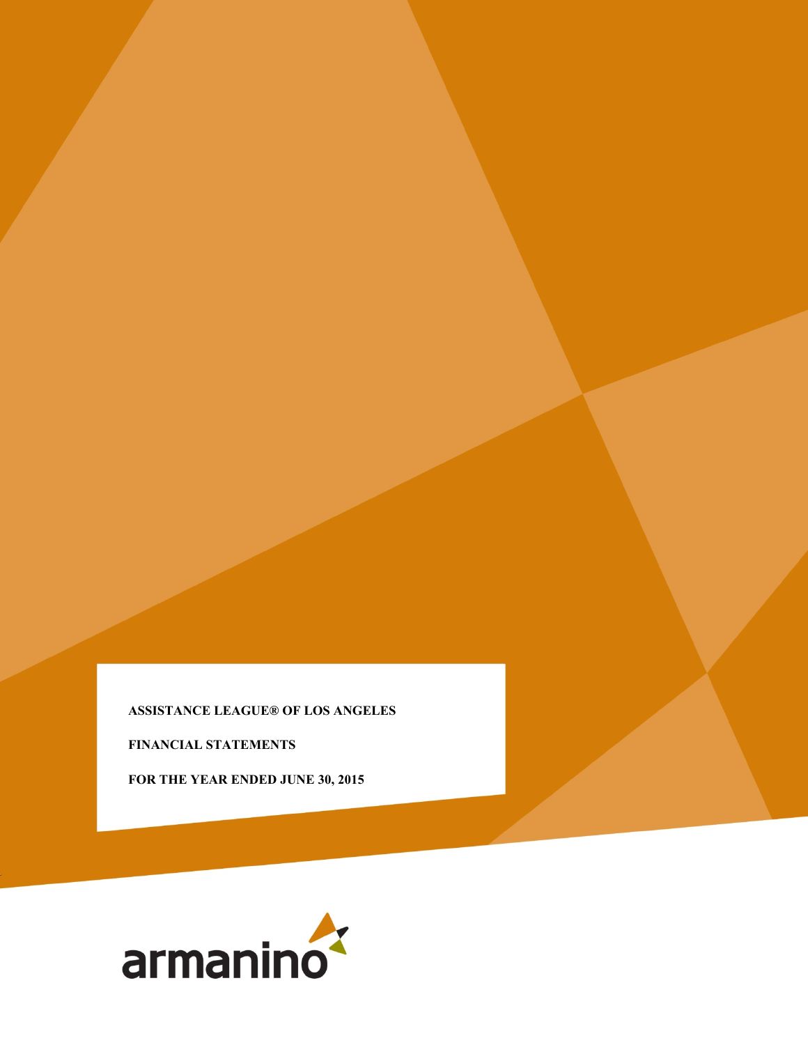**FINANCIAL STATEMENTS**

**FOR THE YEAR ENDED JUNE 30, 2015**

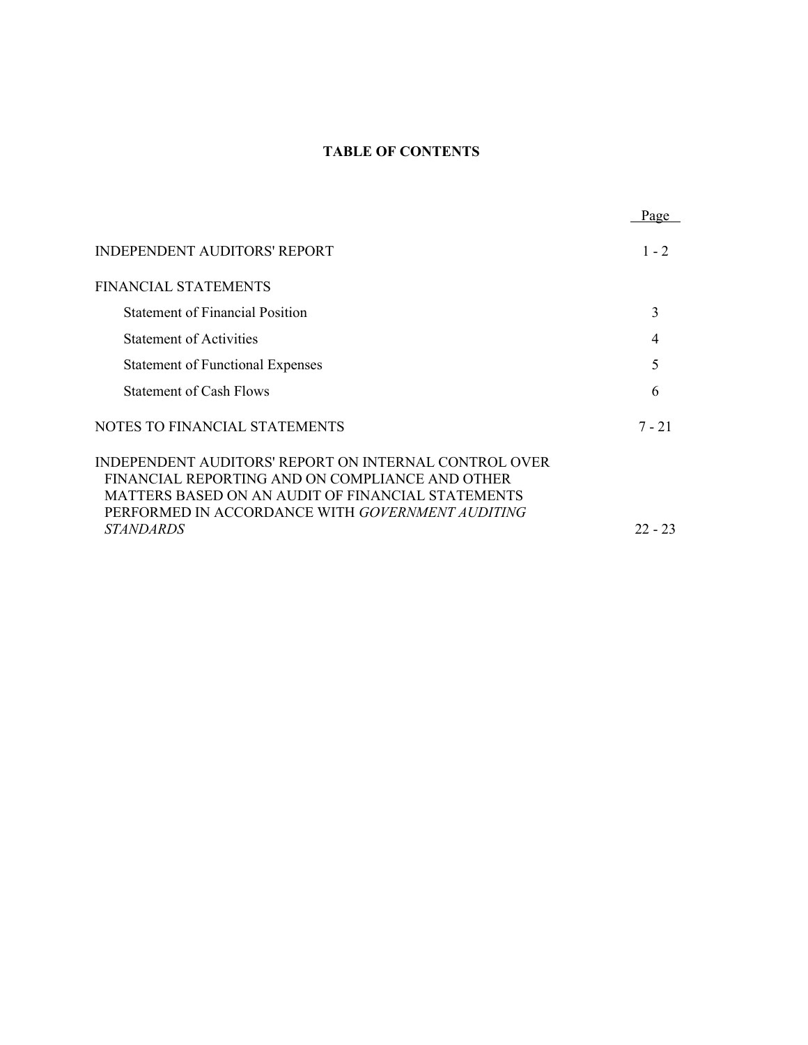# **TABLE OF CONTENTS**

|                                                                                                                                                                                                                                              | Page      |
|----------------------------------------------------------------------------------------------------------------------------------------------------------------------------------------------------------------------------------------------|-----------|
| <b>INDEPENDENT AUDITORS' REPORT</b>                                                                                                                                                                                                          | $1 - 2$   |
| <b>FINANCIAL STATEMENTS</b>                                                                                                                                                                                                                  |           |
| <b>Statement of Financial Position</b>                                                                                                                                                                                                       | 3         |
| <b>Statement of Activities</b>                                                                                                                                                                                                               | 4         |
| <b>Statement of Functional Expenses</b>                                                                                                                                                                                                      | 5         |
| <b>Statement of Cash Flows</b>                                                                                                                                                                                                               | 6         |
| NOTES TO FINANCIAL STATEMENTS                                                                                                                                                                                                                | $7 - 21$  |
| INDEPENDENT AUDITORS' REPORT ON INTERNAL CONTROL OVER<br>FINANCIAL REPORTING AND ON COMPLIANCE AND OTHER<br>MATTERS BASED ON AN AUDIT OF FINANCIAL STATEMENTS<br>PERFORMED IN ACCORDANCE WITH GOVERNMENT AUDITING<br><i><b>STANDARDS</b></i> | $22 - 23$ |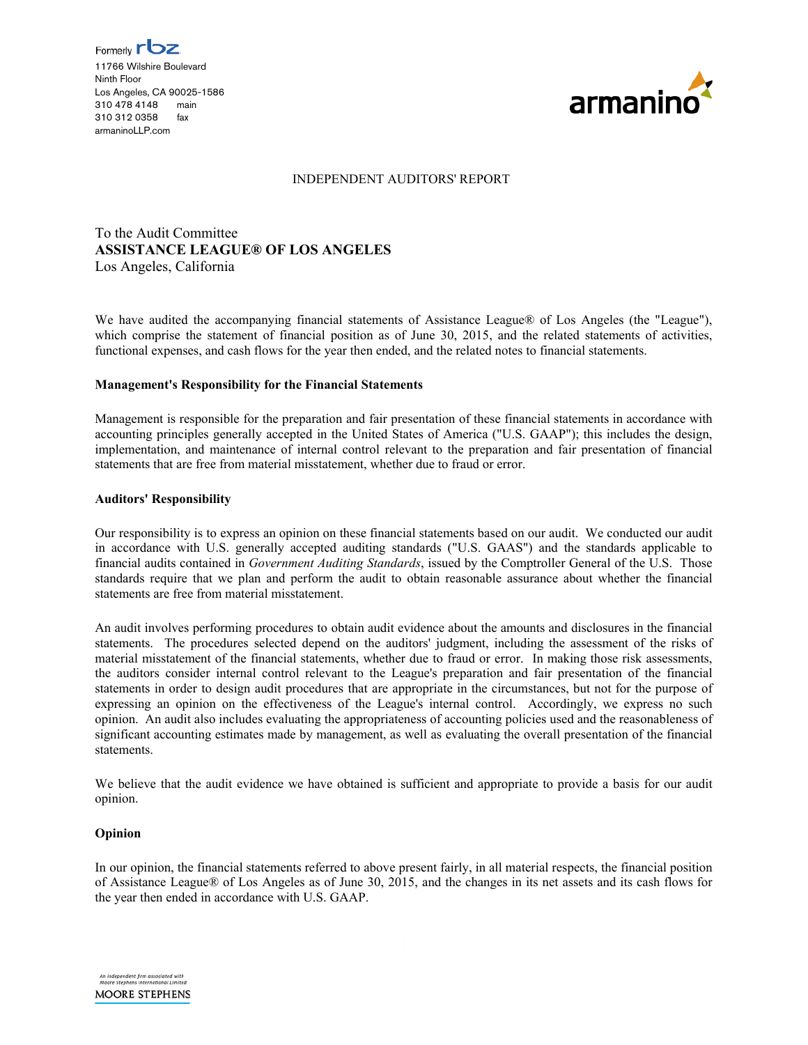Formerly **r**bz. 11766 Wilshire Boulevard Ninth Floor Los Angeles, CA 90025-1586 310 478 4148 main 310 312 0358 fax armaninoLLP.com



## INDEPENDENT AUDITORS' REPORT

To the Audit Committee **ASSISTANCE LEAGUE® OF LOS ANGELES** Los Angeles, California

We have audited the accompanying financial statements of Assistance League® of Los Angeles (the "League"), which comprise the statement of financial position as of June 30, 2015, and the related statements of activities, functional expenses, and cash flows for the year then ended, and the related notes to financial statements.

#### **Management's Responsibility for the Financial Statements**

Management is responsible for the preparation and fair presentation of these financial statements in accordance with accounting principles generally accepted in the United States of America ("U.S. GAAP"); this includes the design, implementation, and maintenance of internal control relevant to the preparation and fair presentation of financial statements that are free from material misstatement, whether due to fraud or error.

#### **Auditors' Responsibility**

Our responsibility is to express an opinion on these financial statements based on our audit. We conducted our audit in accordance with U.S. generally accepted auditing standards ("U.S. GAAS") and the standards applicable to financial audits contained in *Government Auditing Standards*, issued by the Comptroller General of the U.S. Those standards require that we plan and perform the audit to obtain reasonable assurance about whether the financial statements are free from material misstatement.

An audit involves performing procedures to obtain audit evidence about the amounts and disclosures in the financial statements. The procedures selected depend on the auditors' judgment, including the assessment of the risks of material misstatement of the financial statements, whether due to fraud or error. In making those risk assessments, the auditors consider internal control relevant to the League's preparation and fair presentation of the financial statements in order to design audit procedures that are appropriate in the circumstances, but not for the purpose of expressing an opinion on the effectiveness of the League's internal control. Accordingly, we express no such opinion. An audit also includes evaluating the appropriateness of accounting policies used and the reasonableness of significant accounting estimates made by management, as well as evaluating the overall presentation of the financial statements.

We believe that the audit evidence we have obtained is sufficient and appropriate to provide a basis for our audit opinion.

#### **Opinion**

In our opinion, the financial statements referred to above present fairly, in all material respects, the financial position of Assistance League® of Los Angeles as of June 30, 2015, and the changes in its net assets and its cash flows for the year then ended in accordance with U.S. GAAP.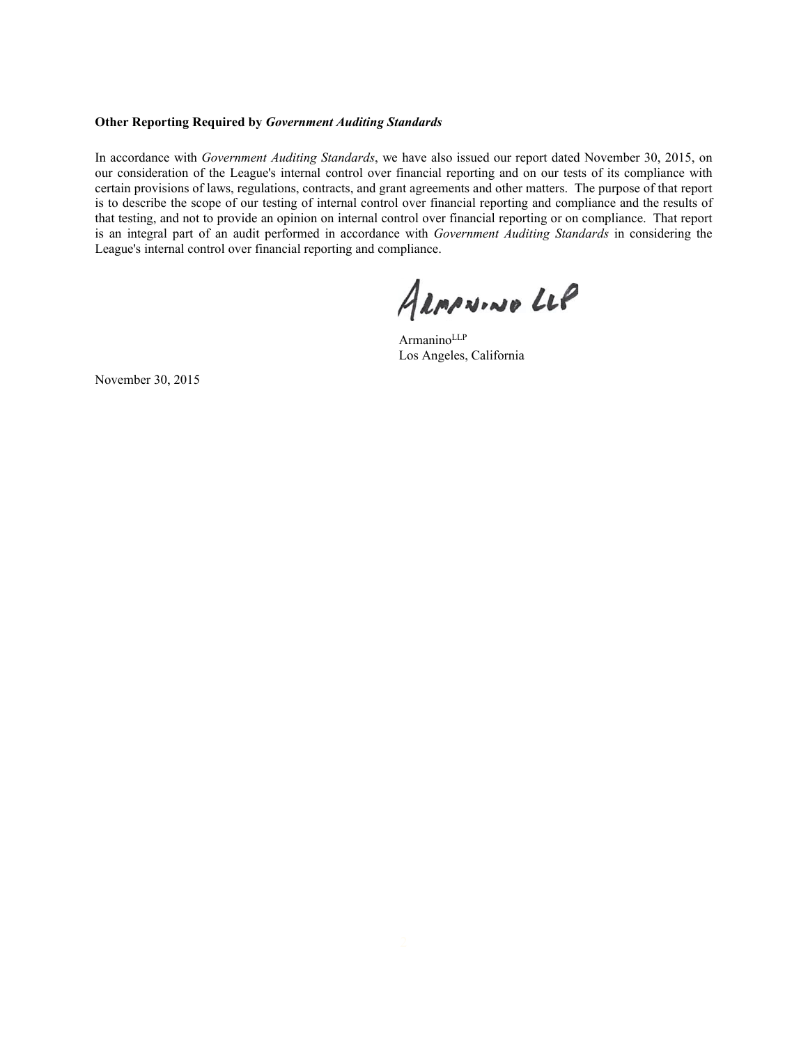#### **Other Reporting Required by** *Government Auditing Standards*

In accordance with *Government Auditing Standards*, we have also issued our report dated November 30, 2015, on our consideration of the League's internal control over financial reporting and on our tests of its compliance with certain provisions of laws, regulations, contracts, and grant agreements and other matters. The purpose of that report is to describe the scope of our testing of internal control over financial reporting and compliance and the results of that testing, and not to provide an opinion on internal control over financial reporting or on compliance. That report is an integral part of an audit performed in accordance with *Government Auditing Standards* in considering the League's internal control over financial reporting and compliance.

ARMANINO LLP

ArmaninoLLP Los Angeles, California

November 30, 2015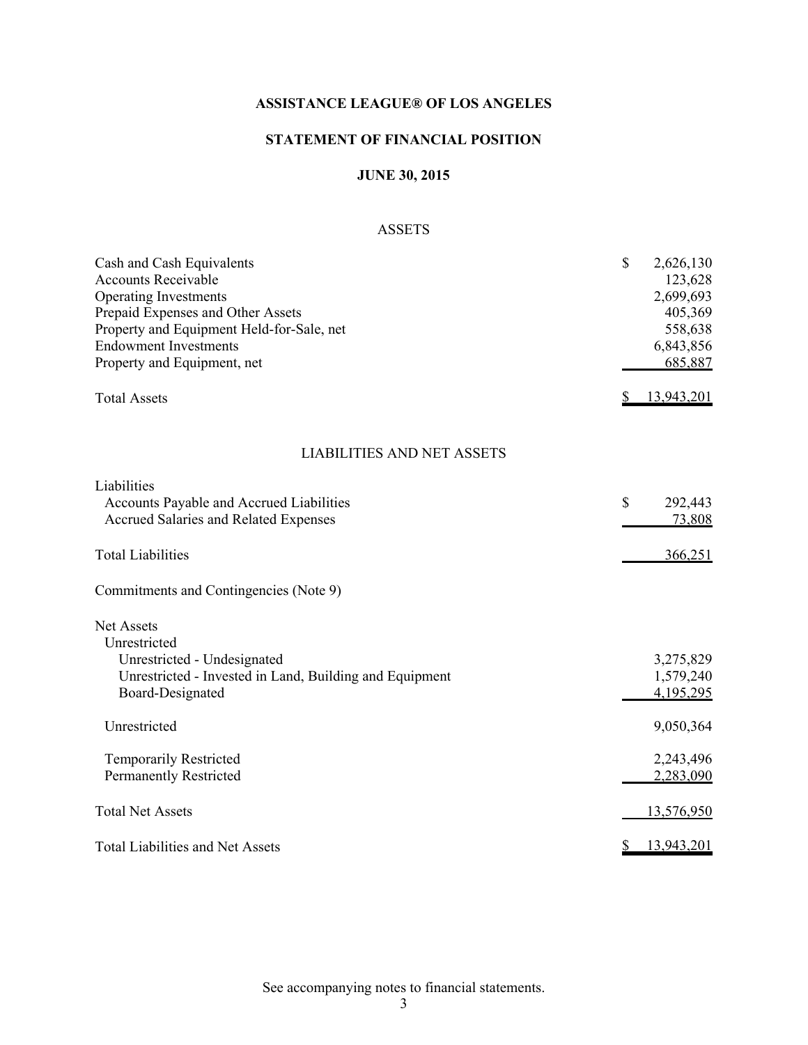# **STATEMENT OF FINANCIAL POSITION**

# **JUNE 30, 2015**

# ASSETS

| Cash and Cash Equivalents                               | \$ | 2,626,130  |
|---------------------------------------------------------|----|------------|
| <b>Accounts Receivable</b>                              |    | 123,628    |
| <b>Operating Investments</b>                            |    | 2,699,693  |
| Prepaid Expenses and Other Assets                       |    | 405,369    |
| Property and Equipment Held-for-Sale, net               |    | 558,638    |
| <b>Endowment Investments</b>                            |    | 6,843,856  |
| Property and Equipment, net                             |    | 685,887    |
| <b>Total Assets</b>                                     |    | 13,943,201 |
| <b>LIABILITIES AND NET ASSETS</b>                       |    |            |
| Liabilities                                             |    |            |
| <b>Accounts Payable and Accrued Liabilities</b>         | \$ | 292,443    |
| <b>Accrued Salaries and Related Expenses</b>            |    | 73,808     |
| <b>Total Liabilities</b>                                |    | 366,251    |
| Commitments and Contingencies (Note 9)                  |    |            |
| Net Assets                                              |    |            |
| Unrestricted                                            |    |            |
| Unrestricted - Undesignated                             |    | 3,275,829  |
| Unrestricted - Invested in Land, Building and Equipment |    | 1,579,240  |
| Board-Designated                                        |    | 4,195,295  |
| Unrestricted                                            |    | 9,050,364  |
| <b>Temporarily Restricted</b>                           |    | 2,243,496  |
| <b>Permanently Restricted</b>                           |    | 2,283,090  |
| <b>Total Net Assets</b>                                 |    | 13,576,950 |
| <b>Total Liabilities and Net Assets</b>                 | S  | 13,943,201 |

See accompanying notes to financial statements.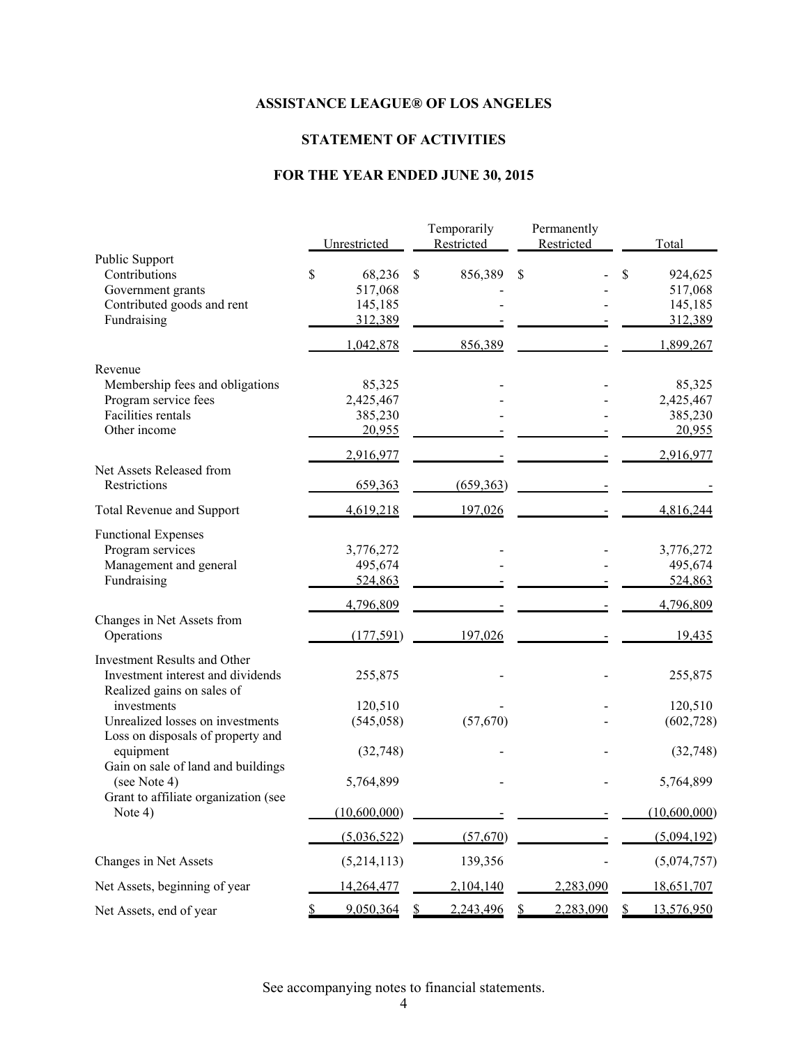# **STATEMENT OF ACTIVITIES**

# **FOR THE YEAR ENDED JUNE 30, 2015**

|                                                    | Unrestricted | Temporarily<br>Restricted | Permanently<br>Restricted | Total         |
|----------------------------------------------------|--------------|---------------------------|---------------------------|---------------|
| Public Support                                     |              |                           |                           |               |
| Contributions                                      | \$<br>68,236 | \$<br>856,389             | \$                        | \$<br>924,625 |
| Government grants                                  | 517,068      |                           |                           | 517,068       |
| Contributed goods and rent                         | 145,185      |                           |                           | 145,185       |
| Fundraising                                        | 312,389      |                           |                           | 312,389       |
|                                                    | 1,042,878    | 856,389                   |                           | 1,899,267     |
| Revenue                                            |              |                           |                           |               |
| Membership fees and obligations                    | 85,325       |                           |                           | 85,325        |
| Program service fees                               | 2,425,467    |                           |                           | 2,425,467     |
| <b>Facilities rentals</b>                          | 385,230      |                           |                           | 385,230       |
| Other income                                       | 20,955       |                           |                           | 20,955        |
|                                                    | 2,916,977    |                           |                           | 2,916,977     |
| Net Assets Released from<br>Restrictions           | 659,363      | (659, 363)                |                           |               |
| <b>Total Revenue and Support</b>                   | 4,619,218    | 197,026                   |                           | 4,816,244     |
| <b>Functional Expenses</b>                         |              |                           |                           |               |
| Program services                                   | 3,776,272    |                           |                           | 3,776,272     |
| Management and general                             | 495,674      |                           |                           | 495,674       |
| Fundraising                                        | 524,863      |                           |                           | 524,863       |
|                                                    | 4,796,809    |                           |                           | 4,796,809     |
| Changes in Net Assets from                         |              |                           |                           |               |
| Operations                                         | (177, 591)   | 197,026                   |                           | 19,435        |
| <b>Investment Results and Other</b>                |              |                           |                           |               |
| Investment interest and dividends                  | 255,875      |                           |                           | 255,875       |
| Realized gains on sales of<br>investments          | 120,510      |                           |                           | 120,510       |
| Unrealized losses on investments                   | (545, 058)   | (57, 670)                 |                           | (602, 728)    |
| Loss on disposals of property and                  |              |                           |                           |               |
| equipment                                          | (32, 748)    |                           |                           | (32, 748)     |
| Gain on sale of land and buildings<br>(see Note 4) | 5,764,899    |                           |                           | 5,764,899     |
| Grant to affiliate organization (see               |              |                           |                           |               |
| Note 4)                                            | (10,600,000) |                           |                           | (10,600,000)  |
|                                                    | (5,036,522)  | (57,670)                  |                           | (5,094,192)   |
| Changes in Net Assets                              | (5,214,113)  | 139,356                   |                           | (5,074,757)   |
| Net Assets, beginning of year                      | 14,264,477   | 2,104,140                 | 2,283,090                 | 18,651,707    |
| Net Assets, end of year                            | 9,050,364    | 2,243,496                 | 2,283,090                 | 13,576,950    |

See accompanying notes to financial statements.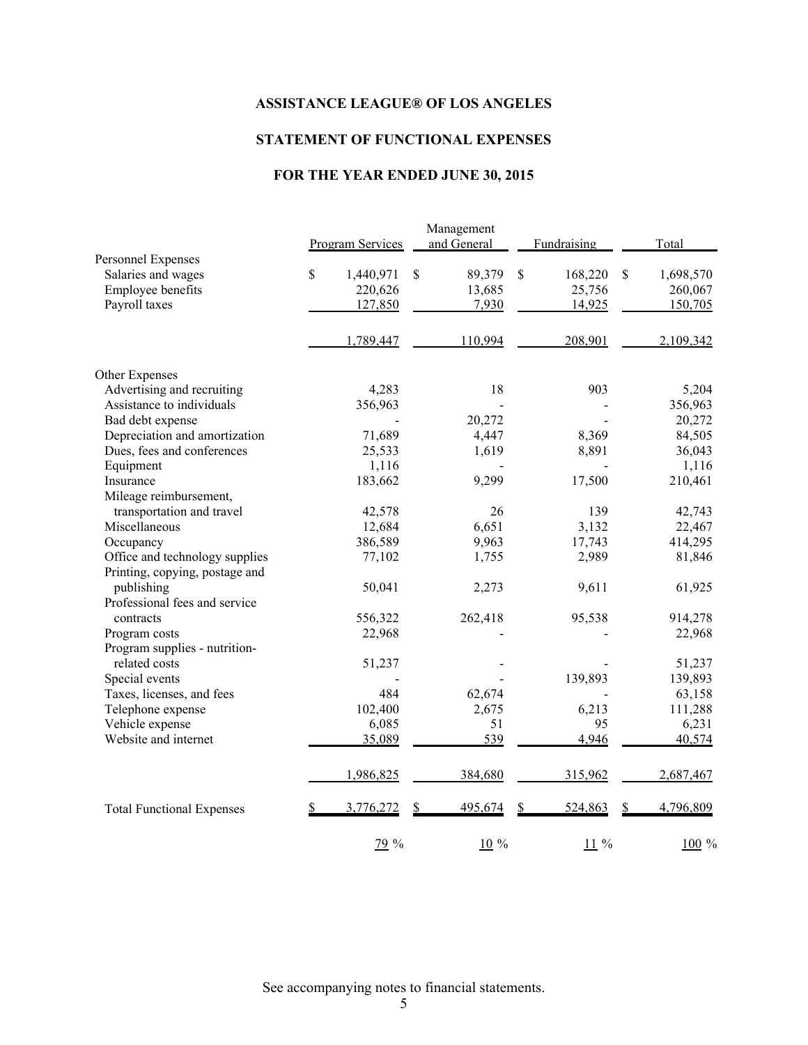# **STATEMENT OF FUNCTIONAL EXPENSES**

# **FOR THE YEAR ENDED JUNE 30, 2015**

|                                          | <b>Program Services</b> | Management<br>and General | Fundraising   | Total           |
|------------------------------------------|-------------------------|---------------------------|---------------|-----------------|
| Personnel Expenses<br>Salaries and wages | \$<br>1,440,971         | \$<br>89,379              | \$<br>168,220 | \$<br>1,698,570 |
| Employee benefits                        | 220,626                 | 13,685                    | 25,756        | 260,067         |
| Payroll taxes                            | 127,850                 | 7,930                     | 14,925        | 150,705         |
|                                          | 1,789,447               | 110,994                   | 208,901       | 2,109,342       |
| Other Expenses                           |                         |                           |               |                 |
| Advertising and recruiting               | 4,283                   | 18                        | 903           | 5,204           |
| Assistance to individuals                | 356,963                 |                           |               | 356,963         |
| Bad debt expense                         |                         | 20,272                    |               | 20,272          |
| Depreciation and amortization            | 71,689                  | 4,447                     | 8,369         | 84,505          |
| Dues, fees and conferences               | 25,533                  | 1,619                     | 8,891         | 36,043          |
| Equipment                                | 1,116                   |                           |               | 1,116           |
| Insurance                                | 183,662                 | 9,299                     | 17,500        | 210,461         |
| Mileage reimbursement,                   |                         |                           |               |                 |
| transportation and travel                | 42,578                  | 26                        | 139           | 42,743          |
| Miscellaneous                            | 12,684                  | 6,651                     | 3,132         | 22,467          |
| Occupancy                                | 386,589                 | 9,963                     | 17,743        | 414,295         |
| Office and technology supplies           | 77,102                  | 1,755                     | 2,989         | 81,846          |
| Printing, copying, postage and           |                         |                           |               |                 |
| publishing                               | 50,041                  | 2,273                     | 9,611         | 61,925          |
| Professional fees and service            |                         |                           |               |                 |
| contracts                                | 556,322                 | 262,418                   | 95,538        | 914,278         |
| Program costs                            | 22,968                  |                           |               | 22,968          |
| Program supplies - nutrition-            |                         |                           |               |                 |
| related costs                            | 51,237                  |                           |               | 51,237          |
| Special events                           |                         |                           | 139,893       | 139,893         |
| Taxes, licenses, and fees                | 484                     | 62,674                    |               | 63,158          |
| Telephone expense                        | 102,400                 | 2,675                     | 6,213         | 111,288         |
| Vehicle expense                          | 6,085                   | 51                        | 95            | 6,231           |
| Website and internet                     | 35,089                  | 539                       | 4,946         | 40,574          |
|                                          | 1,986,825               | 384,680                   | 315,962       | 2,687,467       |
| <b>Total Functional Expenses</b>         | 3,776,272               | 495,674<br>S              | 524,863<br>S  | 4,796,809<br>S  |
|                                          | 79%                     | 10 %                      | $11\%$        | 100 %           |

See accompanying notes to financial statements.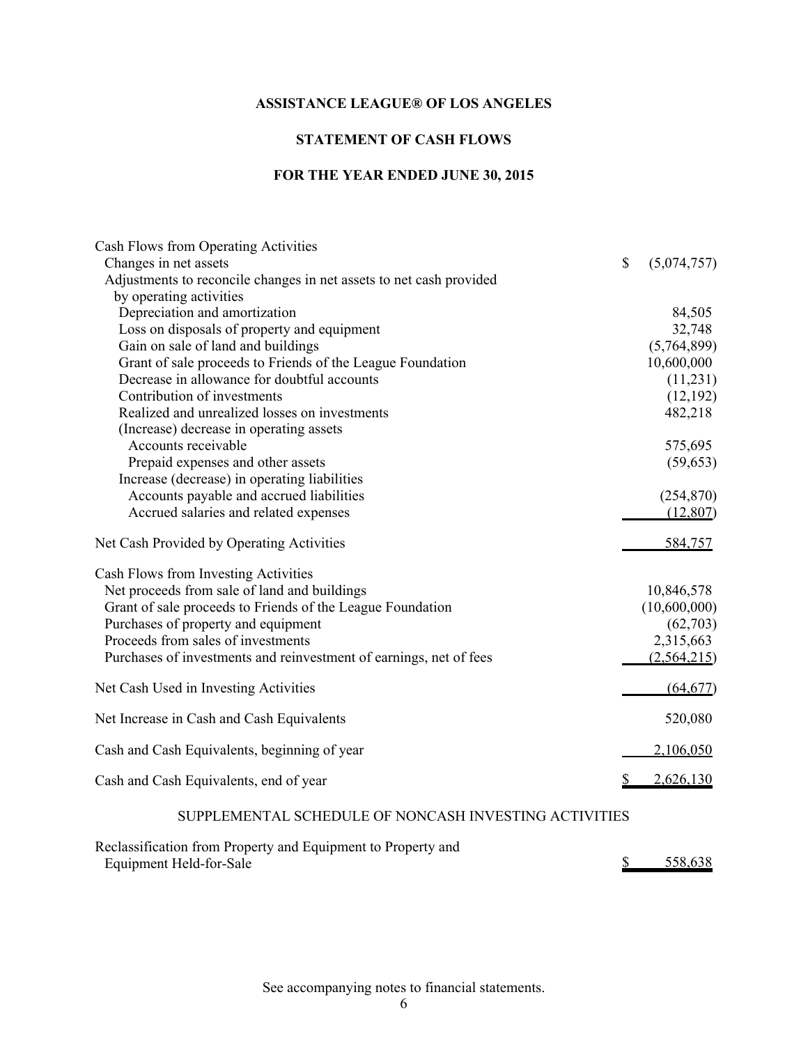# **STATEMENT OF CASH FLOWS**

# **FOR THE YEAR ENDED JUNE 30, 2015**

| Cash Flows from Operating Activities                                |                   |
|---------------------------------------------------------------------|-------------------|
| Changes in net assets                                               | \$<br>(5,074,757) |
| Adjustments to reconcile changes in net assets to net cash provided |                   |
| by operating activities                                             |                   |
| Depreciation and amortization                                       | 84,505            |
| Loss on disposals of property and equipment                         | 32,748            |
| Gain on sale of land and buildings                                  | (5,764,899)       |
| Grant of sale proceeds to Friends of the League Foundation          | 10,600,000        |
| Decrease in allowance for doubtful accounts                         | (11,231)          |
| Contribution of investments                                         | (12, 192)         |
| Realized and unrealized losses on investments                       | 482,218           |
| (Increase) decrease in operating assets                             |                   |
| Accounts receivable                                                 | 575,695           |
| Prepaid expenses and other assets                                   | (59, 653)         |
| Increase (decrease) in operating liabilities                        |                   |
| Accounts payable and accrued liabilities                            | (254, 870)        |
| Accrued salaries and related expenses                               | (12,807)          |
| Net Cash Provided by Operating Activities                           | 584,757           |
| Cash Flows from Investing Activities                                |                   |
| Net proceeds from sale of land and buildings                        | 10,846,578        |
| Grant of sale proceeds to Friends of the League Foundation          | (10,600,000)      |
| Purchases of property and equipment                                 | (62,703)          |
| Proceeds from sales of investments                                  | 2,315,663         |
| Purchases of investments and reinvestment of earnings, net of fees  | (2,564,215)       |
| Net Cash Used in Investing Activities                               | (64, 677)         |
| Net Increase in Cash and Cash Equivalents                           | 520,080           |
| Cash and Cash Equivalents, beginning of year                        | 2,106,050         |
| Cash and Cash Equivalents, end of year                              | 2,626,130         |
|                                                                     |                   |

# SUPPLEMENTAL SCHEDULE OF NONCASH INVESTING ACTIVITIES

| Reclassification from Property and Equipment to Property and |         |
|--------------------------------------------------------------|---------|
| Equipment Held-for-Sale                                      | 558,638 |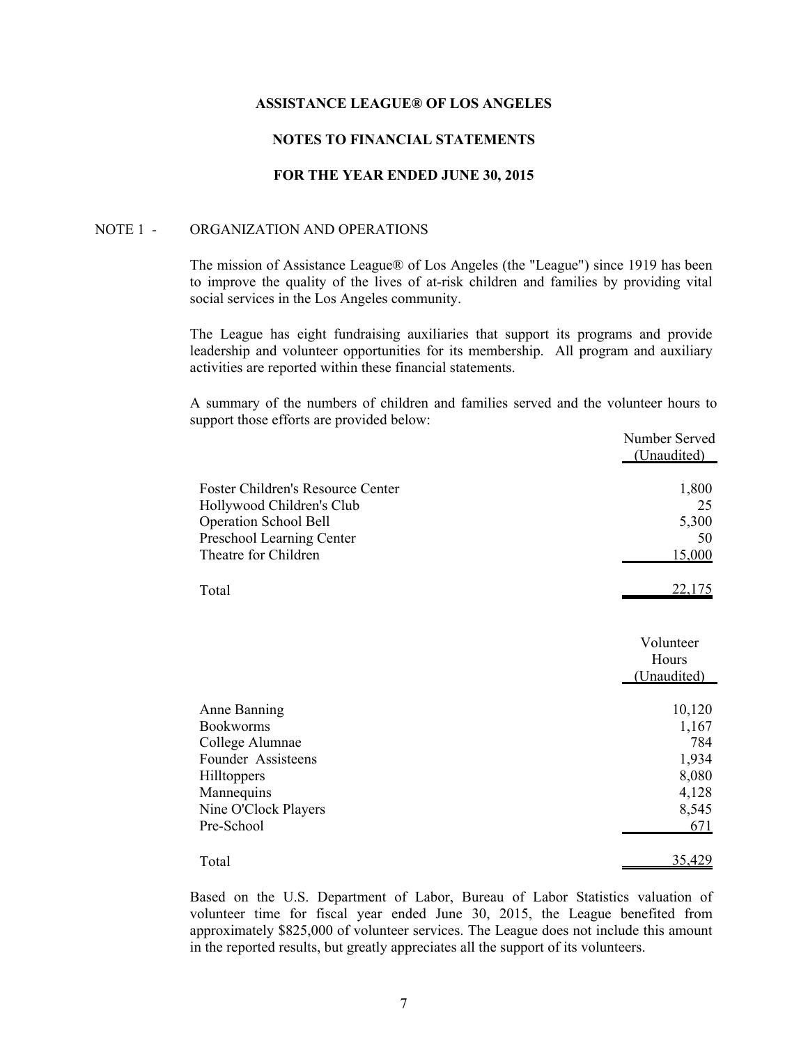# **NOTES TO FINANCIAL STATEMENTS**

# **FOR THE YEAR ENDED JUNE 30, 2015**

#### NOTE 1 - ORGANIZATION AND OPERATIONS

The mission of Assistance League® of Los Angeles (the "League") since 1919 has been to improve the quality of the lives of at-risk children and families by providing vital social services in the Los Angeles community.

The League has eight fundraising auxiliaries that support its programs and provide leadership and volunteer opportunities for its membership. All program and auxiliary activities are reported within these financial statements.

A summary of the numbers of children and families served and the volunteer hours to support those efforts are provided below:

|                                                           | Number Served<br>(Unaudited) |
|-----------------------------------------------------------|------------------------------|
| <b>Foster Children's Resource Center</b>                  | 1,800                        |
| Hollywood Children's Club                                 | 25                           |
| <b>Operation School Bell</b><br>Preschool Learning Center | 5,300<br>50                  |
| Theatre for Children                                      | 15,000                       |
| Total                                                     | <u>22,175</u>                |
|                                                           | Volunteer                    |
|                                                           | Hours                        |
|                                                           | (Unaudited)                  |
| Anne Banning                                              | 10,120                       |
| <b>Bookworms</b>                                          | 1,167                        |
| College Alumnae                                           | 784                          |
| Founder Assisteens                                        | 1,934                        |
| Hilltoppers                                               | 8,080                        |
| Mannequins                                                | 4,128                        |
| Nine O'Clock Players                                      | 8,545                        |
| Pre-School                                                | 671                          |
| Total                                                     | <u>35,429</u>                |

Based on the U.S. Department of Labor, Bureau of Labor Statistics valuation of volunteer time for fiscal year ended June 30, 2015, the League benefited from approximately \$825,000 of volunteer services. The League does not include this amount in the reported results, but greatly appreciates all the support of its volunteers.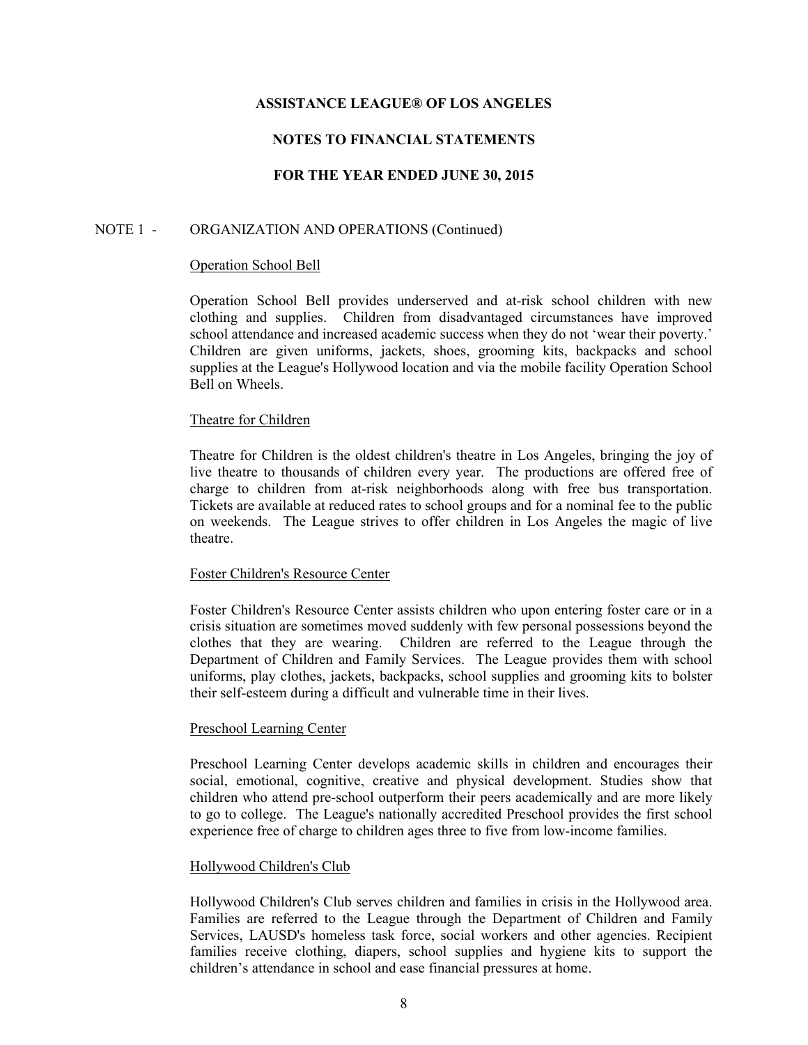# **NOTES TO FINANCIAL STATEMENTS**

# **FOR THE YEAR ENDED JUNE 30, 2015**

## NOTE 1 - ORGANIZATION AND OPERATIONS (Continued)

#### Operation School Bell

Operation School Bell provides underserved and at-risk school children with new clothing and supplies. Children from disadvantaged circumstances have improved school attendance and increased academic success when they do not 'wear their poverty.' Children are given uniforms, jackets, shoes, grooming kits, backpacks and school supplies at the League's Hollywood location and via the mobile facility Operation School Bell on Wheels.

#### Theatre for Children

Theatre for Children is the oldest children's theatre in Los Angeles, bringing the joy of live theatre to thousands of children every year. The productions are offered free of charge to children from at-risk neighborhoods along with free bus transportation. Tickets are available at reduced rates to school groups and for a nominal fee to the public on weekends. The League strives to offer children in Los Angeles the magic of live theatre.

### Foster Children's Resource Center

Foster Children's Resource Center assists children who upon entering foster care or in a crisis situation are sometimes moved suddenly with few personal possessions beyond the clothes that they are wearing. Children are referred to the League through the Department of Children and Family Services. The League provides them with school uniforms, play clothes, jackets, backpacks, school supplies and grooming kits to bolster their self-esteem during a difficult and vulnerable time in their lives.

### Preschool Learning Center

Preschool Learning Center develops academic skills in children and encourages their social, emotional, cognitive, creative and physical development. Studies show that children who attend pre-school outperform their peers academically and are more likely to go to college. The League's nationally accredited Preschool provides the first school experience free of charge to children ages three to five from low-income families.

### Hollywood Children's Club

Hollywood Children's Club serves children and families in crisis in the Hollywood area. Families are referred to the League through the Department of Children and Family Services, LAUSD's homeless task force, social workers and other agencies. Recipient families receive clothing, diapers, school supplies and hygiene kits to support the children's attendance in school and ease financial pressures at home.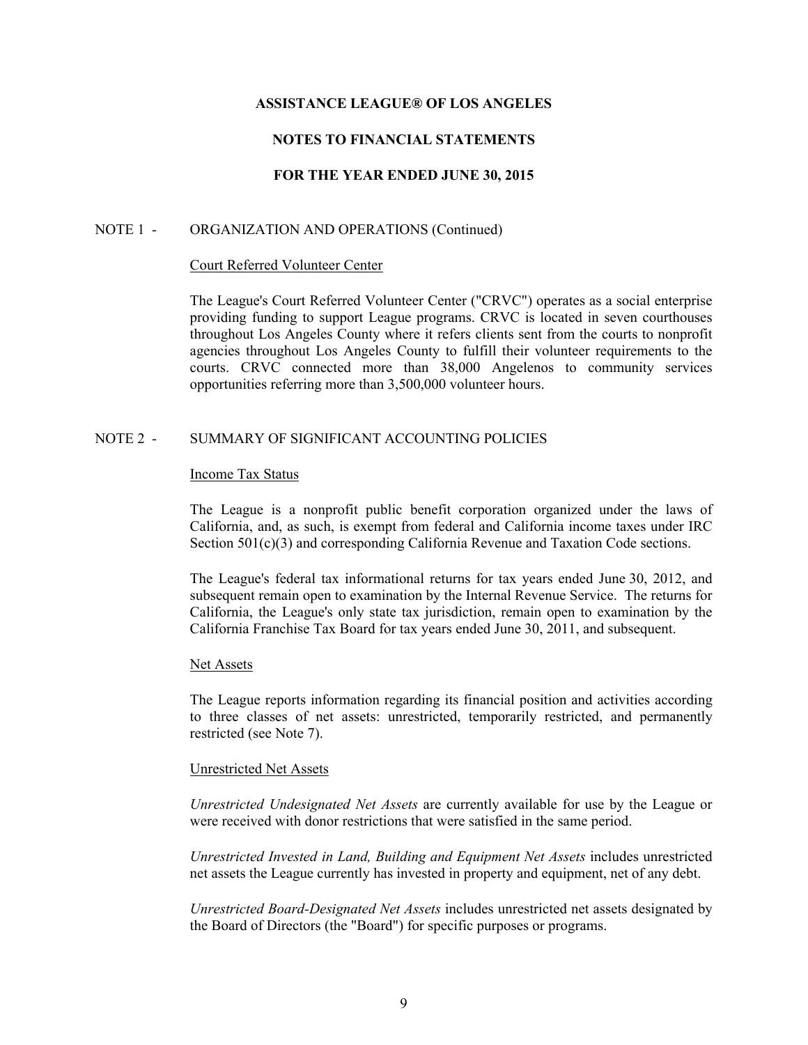# **NOTES TO FINANCIAL STATEMENTS**

# **FOR THE YEAR ENDED JUNE 30, 2015**

## NOTE 1 - ORGANIZATION AND OPERATIONS (Continued)

#### Court Referred Volunteer Center

The League's Court Referred Volunteer Center ("CRVC") operates as a social enterprise providing funding to support League programs. CRVC is located in seven courthouses throughout Los Angeles County where it refers clients sent from the courts to nonprofit agencies throughout Los Angeles County to fulfill their volunteer requirements to the courts. CRVC connected more than 38,000 Angelenos to community services opportunities referring more than 3,500,000 volunteer hours.

# NOTE 2 - SUMMARY OF SIGNIFICANT ACCOUNTING POLICIES

### Income Tax Status

The League is a nonprofit public benefit corporation organized under the laws of California, and, as such, is exempt from federal and California income taxes under IRC Section  $501(c)(3)$  and corresponding California Revenue and Taxation Code sections.

The League's federal tax informational returns for tax years ended June 30, 2012, and subsequent remain open to examination by the Internal Revenue Service. The returns for California, the League's only state tax jurisdiction, remain open to examination by the California Franchise Tax Board for tax years ended June 30, 2011, and subsequent.

### Net Assets

The League reports information regarding its financial position and activities according to three classes of net assets: unrestricted, temporarily restricted, and permanently restricted (see Note 7).

### Unrestricted Net Assets

*Unrestricted Undesignated Net Assets* are currently available for use by the League or were received with donor restrictions that were satisfied in the same period.

*Unrestricted Invested in Land, Building and Equipment Net Assets* includes unrestricted net assets the League currently has invested in property and equipment, net of any debt.

*Unrestricted Board-Designated Net Assets* includes unrestricted net assets designated by the Board of Directors (the "Board") for specific purposes or programs.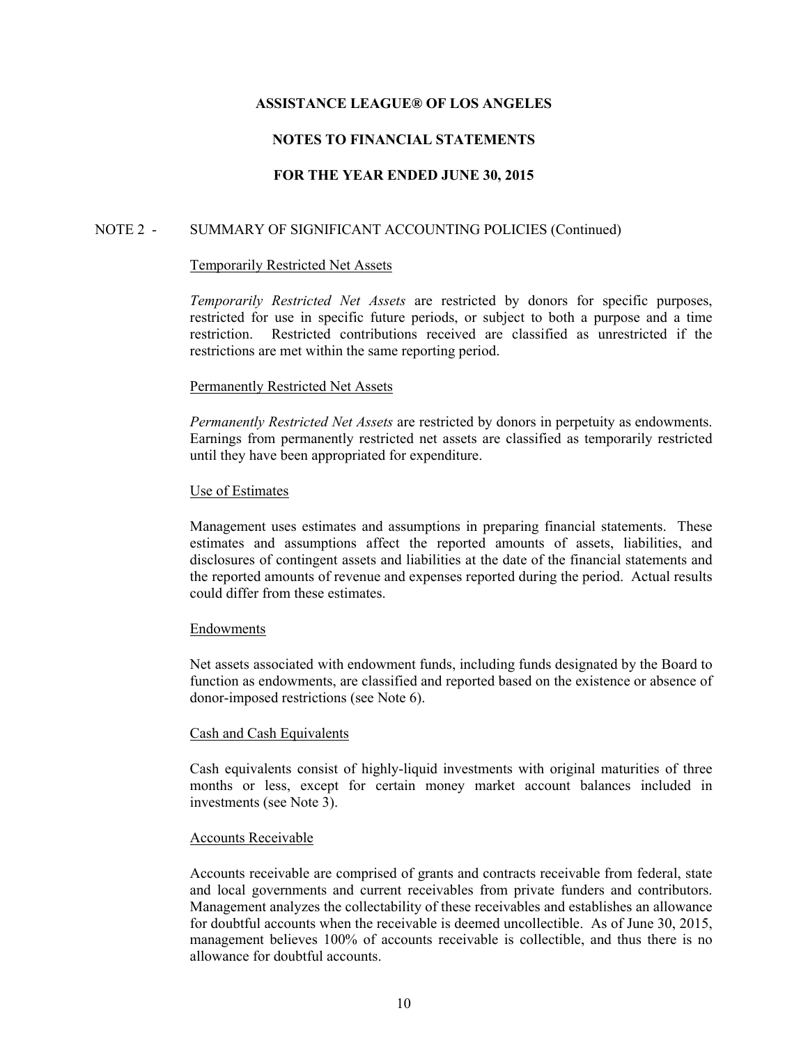# **NOTES TO FINANCIAL STATEMENTS**

# **FOR THE YEAR ENDED JUNE 30, 2015**

# NOTE 2 - SUMMARY OF SIGNIFICANT ACCOUNTING POLICIES (Continued)

#### Temporarily Restricted Net Assets

*Temporarily Restricted Net Assets* are restricted by donors for specific purposes, restricted for use in specific future periods, or subject to both a purpose and a time restriction. Restricted contributions received are classified as unrestricted if the restrictions are met within the same reporting period.

#### Permanently Restricted Net Assets

*Permanently Restricted Net Assets* are restricted by donors in perpetuity as endowments. Earnings from permanently restricted net assets are classified as temporarily restricted until they have been appropriated for expenditure.

#### Use of Estimates

Management uses estimates and assumptions in preparing financial statements. These estimates and assumptions affect the reported amounts of assets, liabilities, and disclosures of contingent assets and liabilities at the date of the financial statements and the reported amounts of revenue and expenses reported during the period. Actual results could differ from these estimates.

### Endowments

Net assets associated with endowment funds, including funds designated by the Board to function as endowments, are classified and reported based on the existence or absence of donor-imposed restrictions (see Note 6).

### Cash and Cash Equivalents

Cash equivalents consist of highly-liquid investments with original maturities of three months or less, except for certain money market account balances included in investments (see Note 3).

### Accounts Receivable

Accounts receivable are comprised of grants and contracts receivable from federal, state and local governments and current receivables from private funders and contributors. Management analyzes the collectability of these receivables and establishes an allowance for doubtful accounts when the receivable is deemed uncollectible. As of June 30, 2015, management believes 100% of accounts receivable is collectible, and thus there is no allowance for doubtful accounts.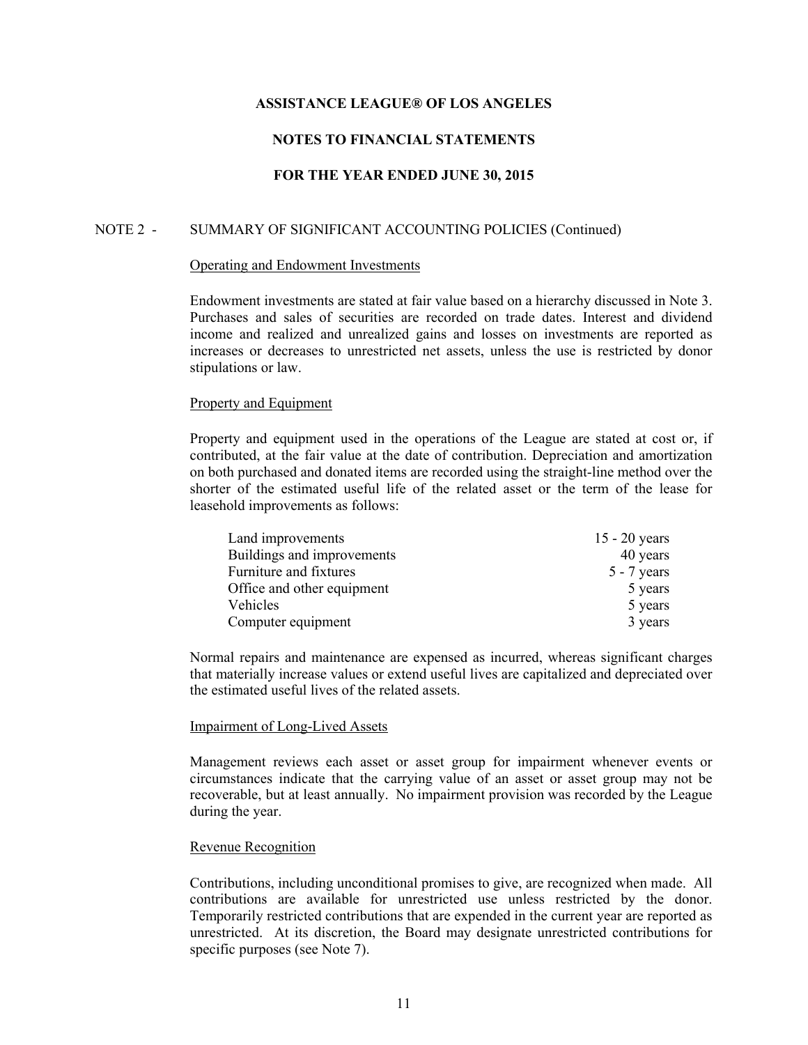# **NOTES TO FINANCIAL STATEMENTS**

# **FOR THE YEAR ENDED JUNE 30, 2015**

# NOTE 2 - SUMMARY OF SIGNIFICANT ACCOUNTING POLICIES (Continued)

#### Operating and Endowment Investments

Endowment investments are stated at fair value based on a hierarchy discussed in Note 3. Purchases and sales of securities are recorded on trade dates. Interest and dividend income and realized and unrealized gains and losses on investments are reported as increases or decreases to unrestricted net assets, unless the use is restricted by donor stipulations or law.

### Property and Equipment

Property and equipment used in the operations of the League are stated at cost or, if contributed, at the fair value at the date of contribution. Depreciation and amortization on both purchased and donated items are recorded using the straight-line method over the shorter of the estimated useful life of the related asset or the term of the lease for leasehold improvements as follows:

| Land improvements          | $15 - 20$ years |
|----------------------------|-----------------|
| Buildings and improvements | 40 years        |
| Furniture and fixtures     | $5 - 7$ years   |
| Office and other equipment | 5 years         |
| Vehicles                   | 5 years         |
| Computer equipment         | 3 years         |

Normal repairs and maintenance are expensed as incurred, whereas significant charges that materially increase values or extend useful lives are capitalized and depreciated over the estimated useful lives of the related assets.

#### Impairment of Long-Lived Assets

Management reviews each asset or asset group for impairment whenever events or circumstances indicate that the carrying value of an asset or asset group may not be recoverable, but at least annually. No impairment provision was recorded by the League during the year.

### Revenue Recognition

Contributions, including unconditional promises to give, are recognized when made. All contributions are available for unrestricted use unless restricted by the donor. Temporarily restricted contributions that are expended in the current year are reported as unrestricted. At its discretion, the Board may designate unrestricted contributions for specific purposes (see Note 7).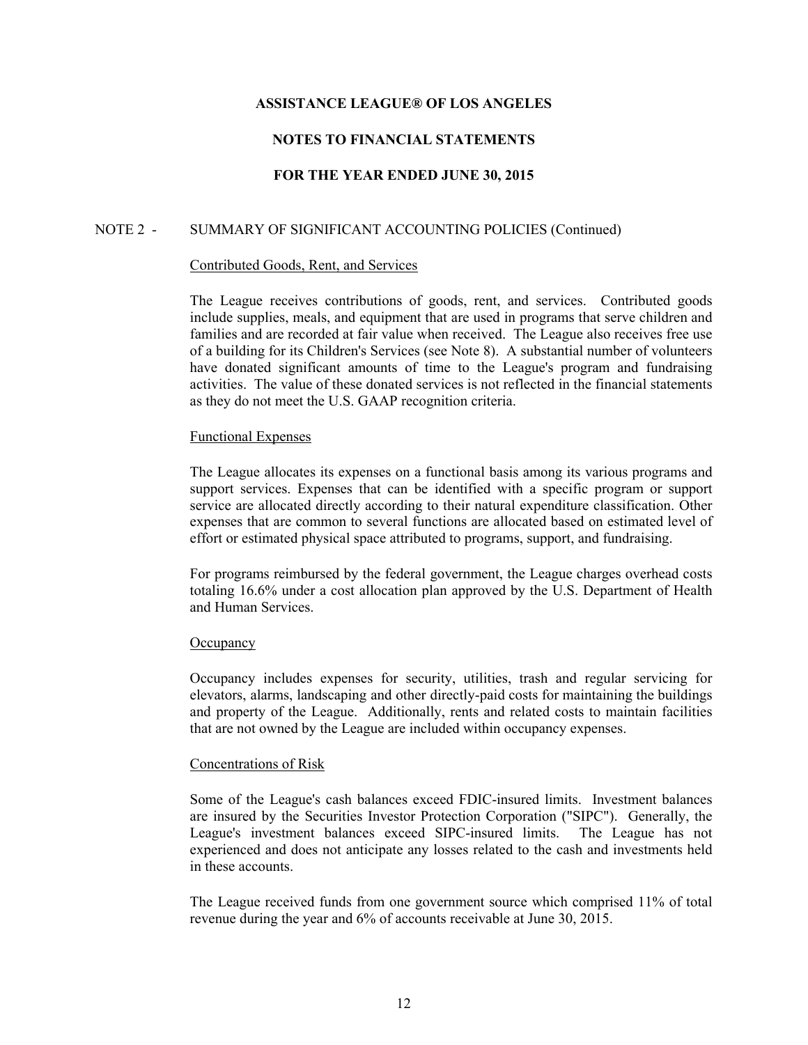# **NOTES TO FINANCIAL STATEMENTS**

# **FOR THE YEAR ENDED JUNE 30, 2015**

## NOTE 2 - SUMMARY OF SIGNIFICANT ACCOUNTING POLICIES (Continued)

#### Contributed Goods, Rent, and Services

The League receives contributions of goods, rent, and services. Contributed goods include supplies, meals, and equipment that are used in programs that serve children and families and are recorded at fair value when received. The League also receives free use of a building for its Children's Services (see Note 8). A substantial number of volunteers have donated significant amounts of time to the League's program and fundraising activities. The value of these donated services is not reflected in the financial statements as they do not meet the U.S. GAAP recognition criteria.

#### Functional Expenses

The League allocates its expenses on a functional basis among its various programs and support services. Expenses that can be identified with a specific program or support service are allocated directly according to their natural expenditure classification. Other expenses that are common to several functions are allocated based on estimated level of effort or estimated physical space attributed to programs, support, and fundraising.

For programs reimbursed by the federal government, the League charges overhead costs totaling 16.6% under a cost allocation plan approved by the U.S. Department of Health and Human Services.

### **Occupancy**

Occupancy includes expenses for security, utilities, trash and regular servicing for elevators, alarms, landscaping and other directly-paid costs for maintaining the buildings and property of the League. Additionally, rents and related costs to maintain facilities that are not owned by the League are included within occupancy expenses.

### Concentrations of Risk

Some of the League's cash balances exceed FDIC-insured limits. Investment balances are insured by the Securities Investor Protection Corporation ("SIPC"). Generally, the League's investment balances exceed SIPC-insured limits. The League has not experienced and does not anticipate any losses related to the cash and investments held in these accounts.

The League received funds from one government source which comprised 11% of total revenue during the year and 6% of accounts receivable at June 30, 2015.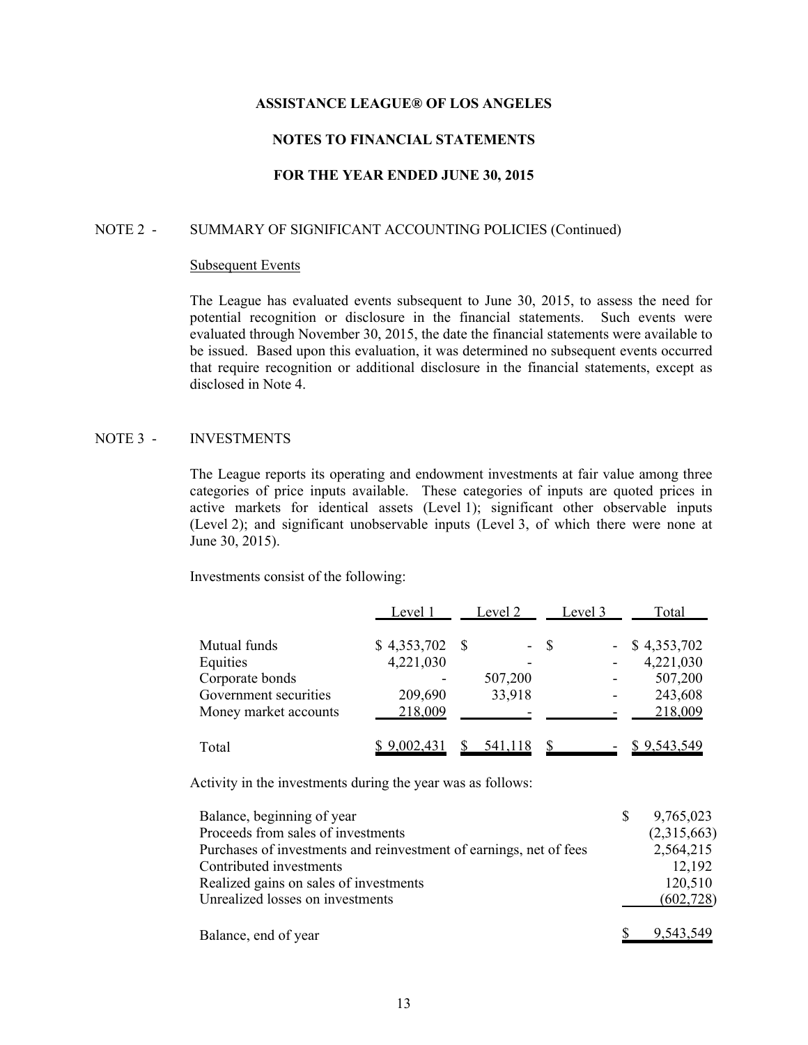# **NOTES TO FINANCIAL STATEMENTS**

# **FOR THE YEAR ENDED JUNE 30, 2015**

#### NOTE 2 - SUMMARY OF SIGNIFICANT ACCOUNTING POLICIES (Continued)

#### Subsequent Events

The League has evaluated events subsequent to June 30, 2015, to assess the need for potential recognition or disclosure in the financial statements. Such events were evaluated through November 30, 2015, the date the financial statements were available to be issued. Based upon this evaluation, it was determined no subsequent events occurred that require recognition or additional disclosure in the financial statements, except as disclosed in Note 4.

# NOTE 3 - INVESTMENTS

The League reports its operating and endowment investments at fair value among three categories of price inputs available. These categories of inputs are quoted prices in active markets for identical assets (Level 1); significant other observable inputs (Level 2); and significant unobservable inputs (Level 3, of which there were none at June 30, 2015).

Investments consist of the following:

|                       | Level 1     | Level 2 | Level 3 | Total       |
|-----------------------|-------------|---------|---------|-------------|
|                       |             |         |         |             |
| Mutual funds          | \$4,353,702 |         | $-$ \$  | \$4,353,702 |
| Equities              | 4,221,030   | -       |         | 4,221,030   |
| Corporate bonds       |             | 507,200 |         | 507,200     |
| Government securities | 209,690     | 33,918  |         | 243,608     |
| Money market accounts | 218,009     |         |         | 218,009     |
| Total                 | \$9,002,431 | 541,118 |         | \$9,543,549 |

Activity in the investments during the year was as follows:

| Balance, beginning of year                                         | 9,765,023        |
|--------------------------------------------------------------------|------------------|
| Proceeds from sales of investments                                 | (2,315,663)      |
| Purchases of investments and reinvestment of earnings, net of fees | 2,564,215        |
| Contributed investments                                            | 12,192           |
| Realized gains on sales of investments                             | 120,510          |
| Unrealized losses on investments                                   | (602, 728)       |
| Balance, end of year                                               | <u>9,543,549</u> |
|                                                                    |                  |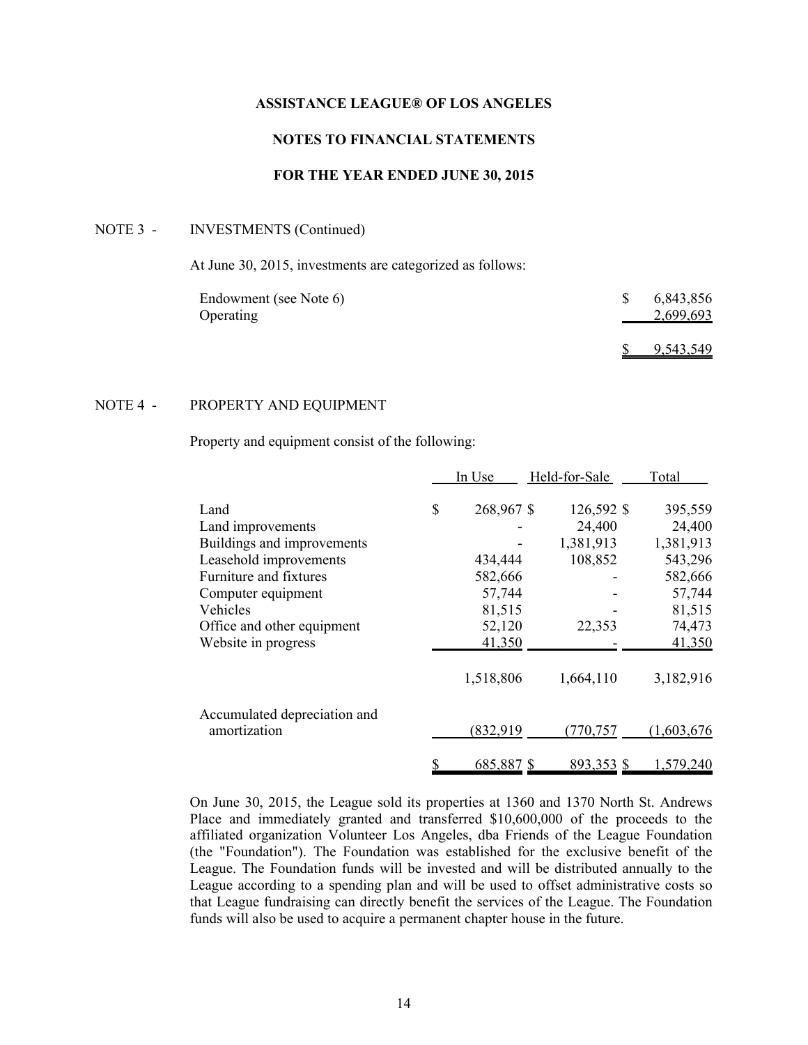# **NOTES TO FINANCIAL STATEMENTS**

# **FOR THE YEAR ENDED JUNE 30, 2015**

#### NOTE 3 - INVESTMENTS (Continued)

At June 30, 2015, investments are categorized as follows:

| Endowment (see Note 6)<br>Operating | 6,843,856<br>2,699,693 |
|-------------------------------------|------------------------|
|                                     | 9,543,549              |

### NOTE 4 - PROPERTY AND EQUIPMENT

Property and equipment consist of the following:

|                              | In Use           | Held-for-Sale | Total       |
|------------------------------|------------------|---------------|-------------|
| Land                         | \$<br>268,967 \$ | 126,592 \$    | 395,559     |
| Land improvements            |                  | 24,400        | 24,400      |
| Buildings and improvements   |                  | 1,381,913     | 1,381,913   |
| Leasehold improvements       | 434,444          | 108,852       | 543,296     |
| Furniture and fixtures       | 582,666          |               | 582,666     |
| Computer equipment           | 57,744           |               | 57,744      |
| Vehicles                     | 81,515           |               | 81,515      |
| Office and other equipment   | 52,120           | 22,353        | 74,473      |
| Website in progress          | 41,350           |               | 41,350      |
|                              | 1,518,806        | 1,664,110     | 3,182,916   |
| Accumulated depreciation and |                  |               |             |
| amortization                 | (832,919)        | (770, 757)    | (1,603,676) |
|                              | $685,887$ \$     | 893,353 \$    | 1,579,240   |

On June 30, 2015, the League sold its properties at 1360 and 1370 North St. Andrews Place and immediately granted and transferred \$10,600,000 of the proceeds to the affiliated organization Volunteer Los Angeles, dba Friends of the League Foundation (the "Foundation"). The Foundation was established for the exclusive benefit of the League. The Foundation funds will be invested and will be distributed annually to the League according to a spending plan and will be used to offset administrative costs so that League fundraising can directly benefit the services of the League. The Foundation funds will also be used to acquire a permanent chapter house in the future.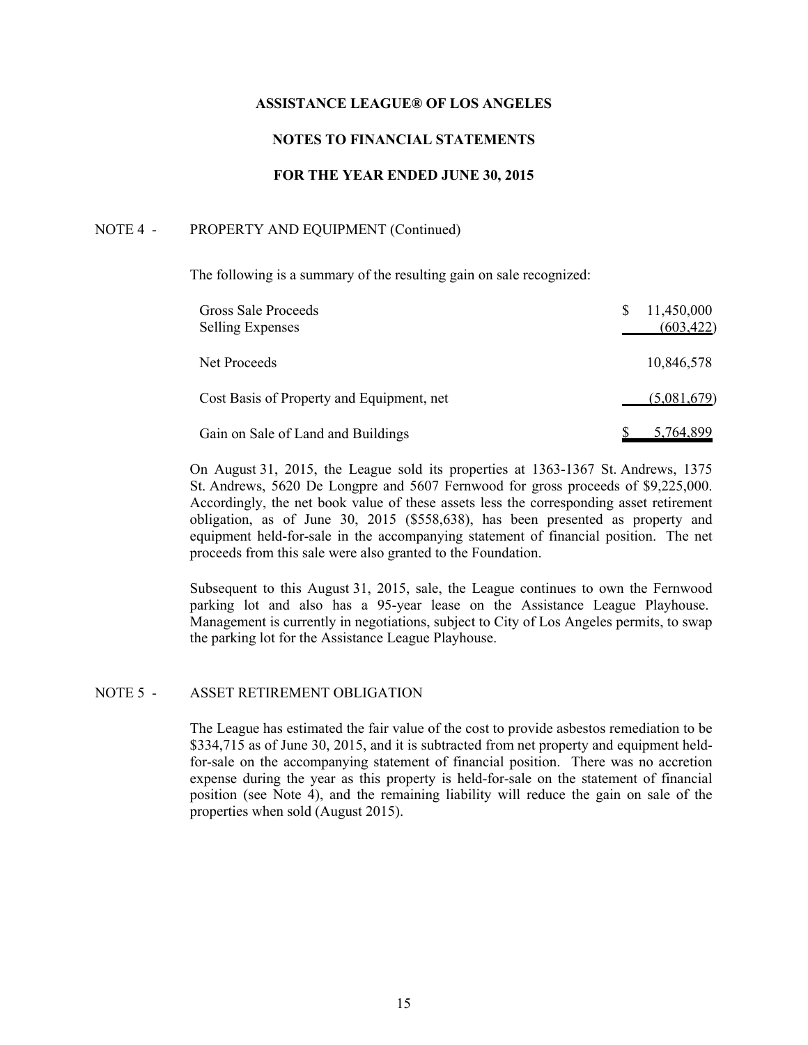# **NOTES TO FINANCIAL STATEMENTS**

# **FOR THE YEAR ENDED JUNE 30, 2015**

## NOTE 4 - PROPERTY AND EQUIPMENT (Continued)

The following is a summary of the resulting gain on sale recognized:

| Gross Sale Proceeds<br><b>Selling Expenses</b> | 11,450,000<br>(603, 422) |
|------------------------------------------------|--------------------------|
| Net Proceeds                                   | 10,846,578               |
| Cost Basis of Property and Equipment, net      | (5,081,679)              |
| Gain on Sale of Land and Buildings             | 5,764,899                |

On August 31, 2015, the League sold its properties at 1363-1367 St. Andrews, 1375 St. Andrews, 5620 De Longpre and 5607 Fernwood for gross proceeds of \$9,225,000. Accordingly, the net book value of these assets less the corresponding asset retirement obligation, as of June 30, 2015 (\$558,638), has been presented as property and equipment held-for-sale in the accompanying statement of financial position. The net proceeds from this sale were also granted to the Foundation.

Subsequent to this August 31, 2015, sale, the League continues to own the Fernwood parking lot and also has a 95-year lease on the Assistance League Playhouse. Management is currently in negotiations, subject to City of Los Angeles permits, to swap the parking lot for the Assistance League Playhouse.

### NOTE 5 - ASSET RETIREMENT OBLIGATION

The League has estimated the fair value of the cost to provide asbestos remediation to be \$334,715 as of June 30, 2015, and it is subtracted from net property and equipment heldfor-sale on the accompanying statement of financial position. There was no accretion expense during the year as this property is held-for-sale on the statement of financial position (see Note 4), and the remaining liability will reduce the gain on sale of the properties when sold (August 2015).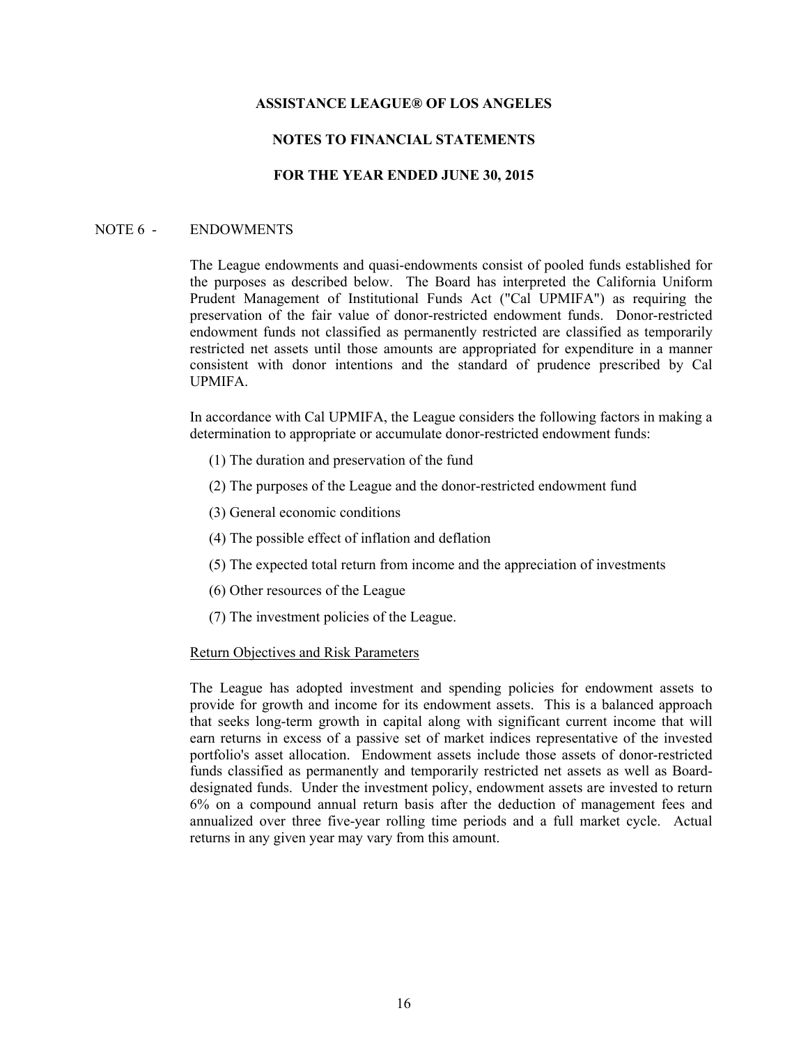## **NOTES TO FINANCIAL STATEMENTS**

# **FOR THE YEAR ENDED JUNE 30, 2015**

#### NOTE 6 - ENDOWMENTS

The League endowments and quasi-endowments consist of pooled funds established for the purposes as described below. The Board has interpreted the California Uniform Prudent Management of Institutional Funds Act ("Cal UPMIFA") as requiring the preservation of the fair value of donor-restricted endowment funds. Donor-restricted endowment funds not classified as permanently restricted are classified as temporarily restricted net assets until those amounts are appropriated for expenditure in a manner consistent with donor intentions and the standard of prudence prescribed by Cal UPMIFA.

In accordance with Cal UPMIFA, the League considers the following factors in making a determination to appropriate or accumulate donor-restricted endowment funds:

- (1) The duration and preservation of the fund
- (2) The purposes of the League and the donor-restricted endowment fund
- (3) General economic conditions
- (4) The possible effect of inflation and deflation
- (5) The expected total return from income and the appreciation of investments
- (6) Other resources of the League
- (7) The investment policies of the League.

## Return Objectives and Risk Parameters

The League has adopted investment and spending policies for endowment assets to provide for growth and income for its endowment assets. This is a balanced approach that seeks long-term growth in capital along with significant current income that will earn returns in excess of a passive set of market indices representative of the invested portfolio's asset allocation. Endowment assets include those assets of donor-restricted funds classified as permanently and temporarily restricted net assets as well as Boarddesignated funds. Under the investment policy, endowment assets are invested to return 6% on a compound annual return basis after the deduction of management fees and annualized over three five-year rolling time periods and a full market cycle. Actual returns in any given year may vary from this amount.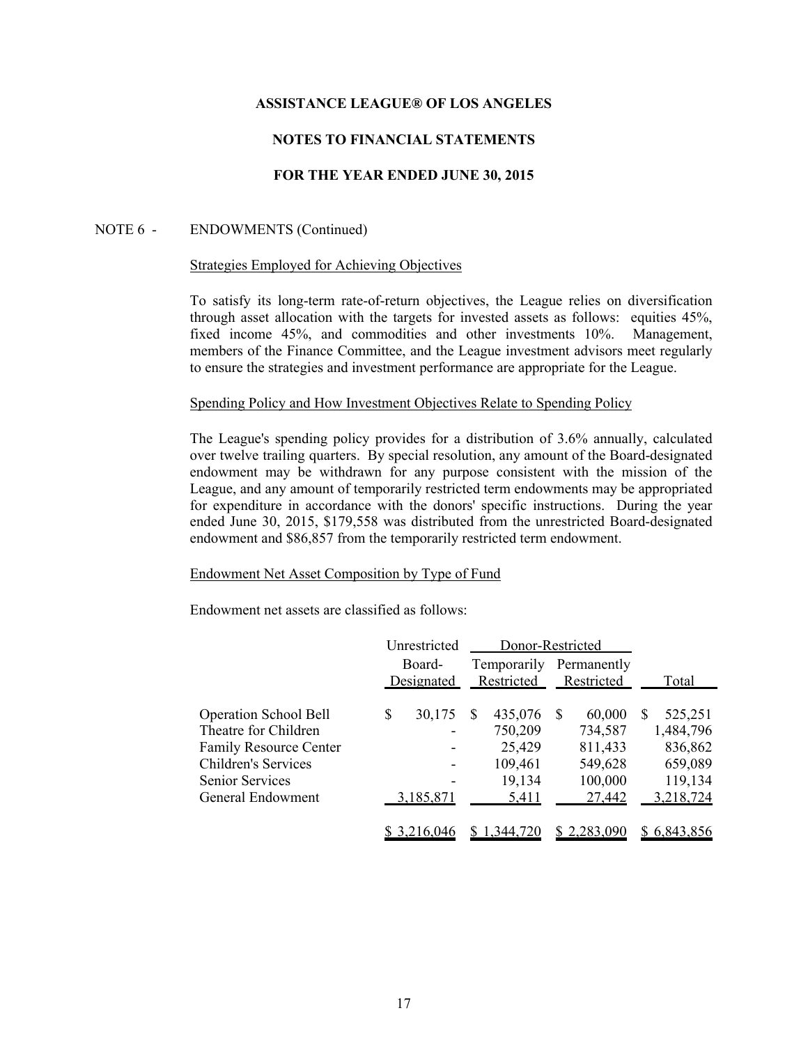# **NOTES TO FINANCIAL STATEMENTS**

# **FOR THE YEAR ENDED JUNE 30, 2015**

### NOTE 6 - ENDOWMENTS (Continued)

#### Strategies Employed for Achieving Objectives

To satisfy its long-term rate-of-return objectives, the League relies on diversification through asset allocation with the targets for invested assets as follows: equities 45%, fixed income 45%, and commodities and other investments 10%. Management, members of the Finance Committee, and the League investment advisors meet regularly to ensure the strategies and investment performance are appropriate for the League.

### Spending Policy and How Investment Objectives Relate to Spending Policy

The League's spending policy provides for a distribution of 3.6% annually, calculated over twelve trailing quarters. By special resolution, any amount of the Board-designated endowment may be withdrawn for any purpose consistent with the mission of the League, and any amount of temporarily restricted term endowments may be appropriated for expenditure in accordance with the donors' specific instructions. During the year ended June 30, 2015, \$179,558 was distributed from the unrestricted Board-designated endowment and \$86,857 from the temporarily restricted term endowment.

#### Endowment Net Asset Composition by Type of Fund

Endowment net assets are classified as follows:

|                               |    | Unrestricted<br>Donor-Restricted |          |                           |   |                           |              |  |
|-------------------------------|----|----------------------------------|----------|---------------------------|---|---------------------------|--------------|--|
|                               |    | Board-<br>Designated             |          | Temporarily<br>Restricted |   | Permanently<br>Restricted | Total        |  |
|                               |    |                                  |          |                           |   |                           |              |  |
| <b>Operation School Bell</b>  | \$ | 30,175                           | <b>S</b> | 435,076                   | S | 60,000                    | 525,251<br>S |  |
| Theatre for Children          |    |                                  |          | 750,209                   |   | 734,587                   | 1,484,796    |  |
| <b>Family Resource Center</b> |    |                                  |          | 25,429                    |   | 811,433                   | 836,862      |  |
| <b>Children's Services</b>    |    | ۰                                |          | 109,461                   |   | 549,628                   | 659,089      |  |
| <b>Senior Services</b>        |    |                                  |          | 19,134                    |   | 100,000                   | 119,134      |  |
| General Endowment             |    | 3,185,871                        |          | 5,411                     |   | 27,442                    | 3,218,724    |  |
|                               |    | \$ 3.216,046                     |          | 1.344.720                 |   | 2,283,090                 | \$6,843,856  |  |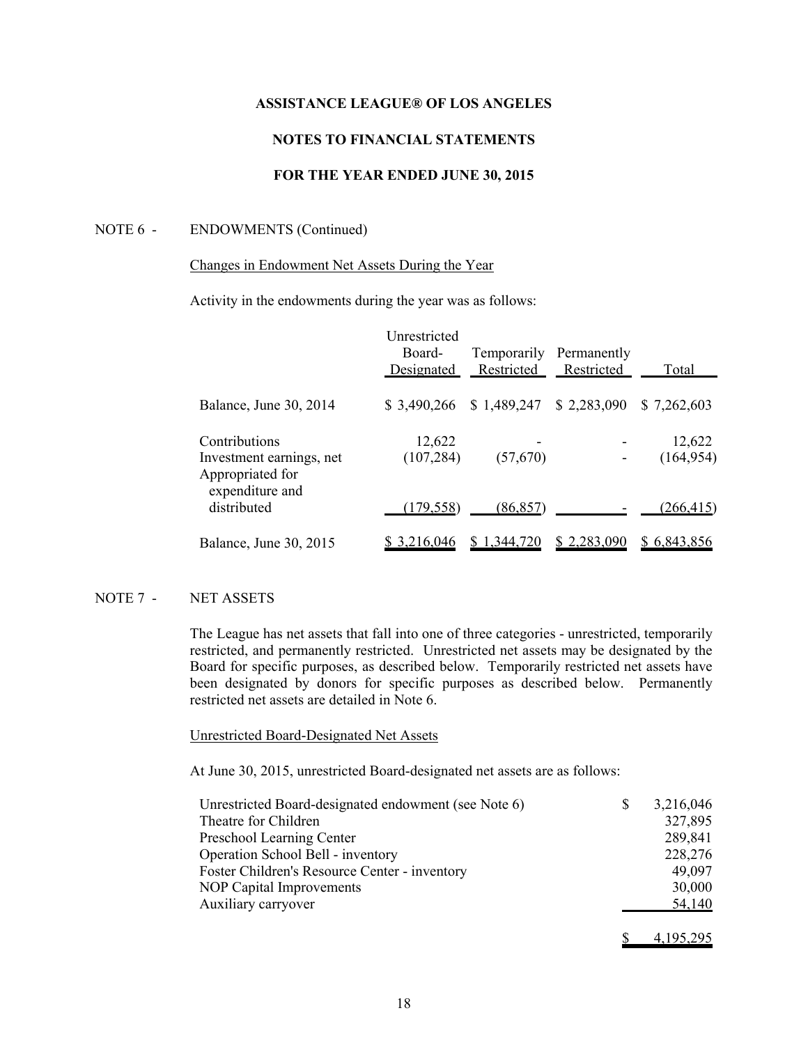# **NOTES TO FINANCIAL STATEMENTS**

# **FOR THE YEAR ENDED JUNE 30, 2015**

### NOTE 6 - ENDOWMENTS (Continued)

## Changes in Endowment Net Assets During the Year

Activity in the endowments during the year was as follows:

|                                                               | Unrestricted<br>Board-<br>Designated | Restricted                | Temporarily Permanently<br>Restricted | Total                |  |  |
|---------------------------------------------------------------|--------------------------------------|---------------------------|---------------------------------------|----------------------|--|--|
| Balance, June 30, 2014                                        | \$3,490,266                          | $$1,489,247$ $$2,283,090$ |                                       | \$7,262,603          |  |  |
| Contributions<br>Investment earnings, net<br>Appropriated for | 12,622<br>(107, 284)                 | (57,670)                  |                                       | 12,622<br>(164, 954) |  |  |
| expenditure and<br>distributed                                | (179, 558)                           | (86, 857)                 |                                       | (266, 415)           |  |  |
| Balance, June 30, 2015                                        | \$ 3,216,046                         | \$1,344,720               | \$2,283,090                           | \$6,843,856          |  |  |

### NOTE 7 - NET ASSETS

The League has net assets that fall into one of three categories - unrestricted, temporarily restricted, and permanently restricted. Unrestricted net assets may be designated by the Board for specific purposes, as described below. Temporarily restricted net assets have been designated by donors for specific purposes as described below. Permanently restricted net assets are detailed in Note 6.

### Unrestricted Board-Designated Net Assets

At June 30, 2015, unrestricted Board-designated net assets are as follows:

| Unrestricted Board-designated endowment (see Note 6) | \$<br>3,216,046 |
|------------------------------------------------------|-----------------|
| Theatre for Children                                 | 327,895         |
| Preschool Learning Center                            | 289,841         |
| Operation School Bell - inventory                    | 228,276         |
| Foster Children's Resource Center - inventory        | 49,097          |
| NOP Capital Improvements                             | 30,000          |
| Auxiliary carryover                                  | 54,140          |
|                                                      |                 |
|                                                      | 4, 195, 295     |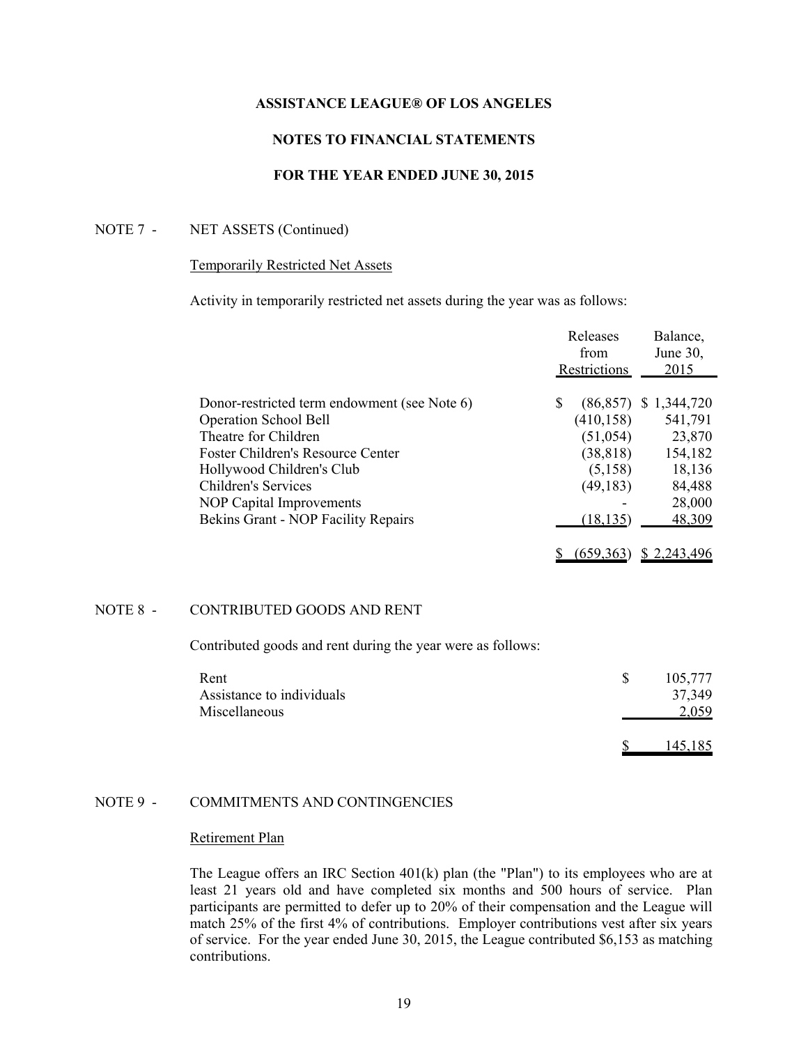# **NOTES TO FINANCIAL STATEMENTS**

# **FOR THE YEAR ENDED JUNE 30, 2015**

#### NOTE 7 - NET ASSETS (Continued)

### Temporarily Restricted Net Assets

Activity in temporarily restricted net assets during the year was as follows:

|                                              | Releases<br>Restrictions | Balance,<br>June 30,<br>2015 |             |
|----------------------------------------------|--------------------------|------------------------------|-------------|
|                                              |                          |                              |             |
| Donor-restricted term endowment (see Note 6) | S.                       | (86, 857)                    | \$1,344,720 |
| <b>Operation School Bell</b>                 |                          | (410, 158)                   | 541,791     |
| Theatre for Children                         |                          | (51, 054)                    | 23,870      |
| Foster Children's Resource Center            |                          | (38, 818)                    | 154,182     |
| Hollywood Children's Club                    |                          | (5,158)                      | 18,136      |
| Children's Services                          |                          | (49, 183)                    | 84,488      |
| NOP Capital Improvements                     |                          |                              | 28,000      |
| Bekins Grant - NOP Facility Repairs          |                          | (18, 135)                    | 48,309      |
|                                              |                          | (659, 363)                   | \$2,243,496 |

# NOTE 8 - CONTRIBUTED GOODS AND RENT

Contributed goods and rent during the year were as follows:

| Rent                      | 105,777 |
|---------------------------|---------|
| Assistance to individuals | 37,349  |
| Miscellaneous             | 2,059   |
|                           | 145.    |

## NOTE 9 - COMMITMENTS AND CONTINGENCIES

#### Retirement Plan

The League offers an IRC Section 401(k) plan (the "Plan") to its employees who are at least 21 years old and have completed six months and 500 hours of service. Plan participants are permitted to defer up to 20% of their compensation and the League will match 25% of the first 4% of contributions. Employer contributions vest after six years of service. For the year ended June 30, 2015, the League contributed \$6,153 as matching contributions.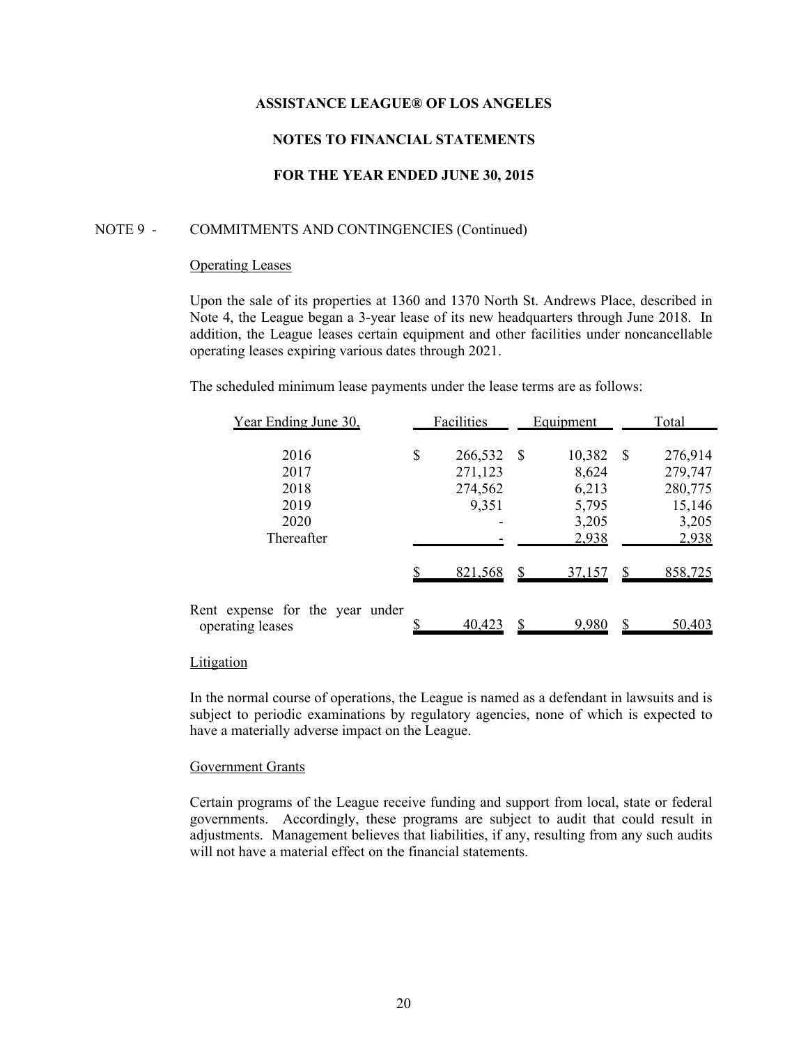# **NOTES TO FINANCIAL STATEMENTS**

# **FOR THE YEAR ENDED JUNE 30, 2015**

# NOTE 9 - COMMITMENTS AND CONTINGENCIES (Continued)

#### Operating Leases

Upon the sale of its properties at 1360 and 1370 North St. Andrews Place, described in Note 4, the League began a 3-year lease of its new headquarters through June 2018. In addition, the League leases certain equipment and other facilities under noncancellable operating leases expiring various dates through 2021.

The scheduled minimum lease payments under the lease terms are as follows:

| Year Ending June 30,                                | Facilities |                                        |    | Equipment                                           |    | Total                                                     |
|-----------------------------------------------------|------------|----------------------------------------|----|-----------------------------------------------------|----|-----------------------------------------------------------|
| 2016<br>2017<br>2018<br>2019<br>2020<br>Thereafter  | \$         | 266,532<br>271,123<br>274,562<br>9,351 | -S | 10,382<br>8,624<br>6,213<br>5,795<br>3,205<br>2,938 | -S | 276,914<br>279,747<br>280,775<br>15,146<br>3,205<br>2,938 |
|                                                     |            | 821,568                                |    | 37,157                                              |    | 858,725                                                   |
| Rent expense for the year under<br>operating leases |            | 40,423                                 |    | 9,980                                               |    | <u>50,403</u>                                             |

### **Litigation**

In the normal course of operations, the League is named as a defendant in lawsuits and is subject to periodic examinations by regulatory agencies, none of which is expected to have a materially adverse impact on the League.

#### Government Grants

Certain programs of the League receive funding and support from local, state or federal governments. Accordingly, these programs are subject to audit that could result in adjustments. Management believes that liabilities, if any, resulting from any such audits will not have a material effect on the financial statements.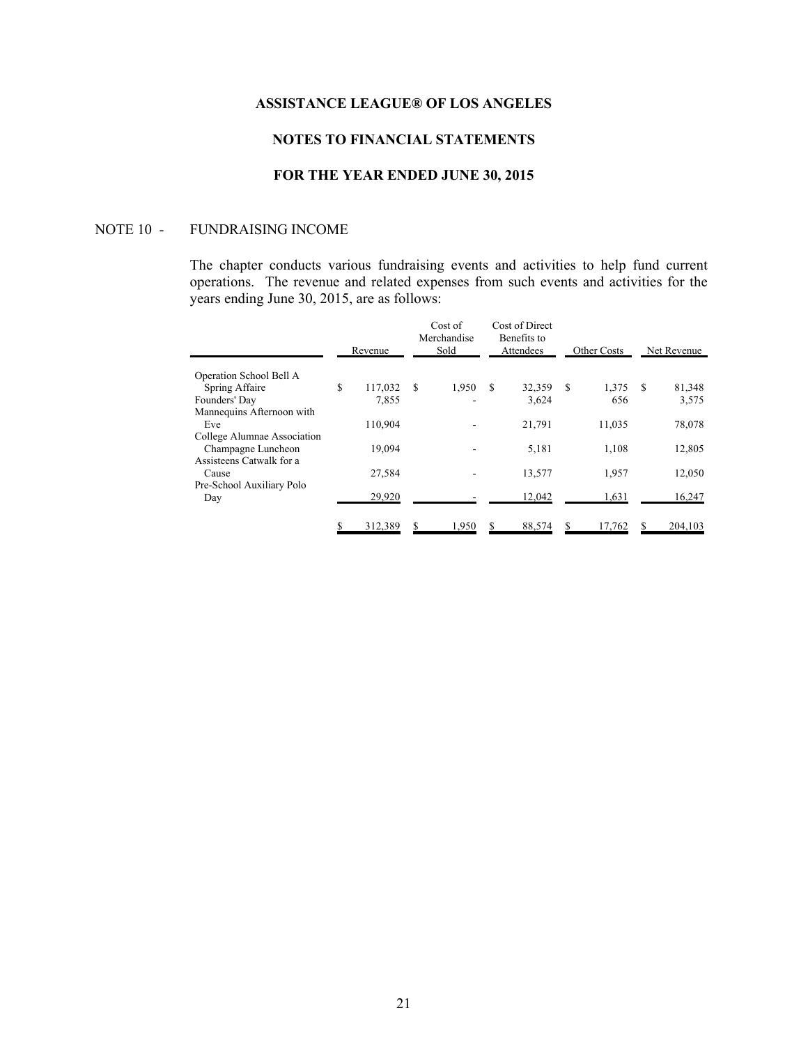# **NOTES TO FINANCIAL STATEMENTS**

# **FOR THE YEAR ENDED JUNE 30, 2015**

# NOTE 10 - FUNDRAISING INCOME

The chapter conducts various fundraising events and activities to help fund current operations. The revenue and related expenses from such events and activities for the years ending June 30, 2015, are as follows:

|                             | Revenue       |    | Cost of<br>Merchandise<br>Sold |               | Cost of Direct<br>Benefits to<br>Attendees |               | Other Costs |    | Net Revenue |  |
|-----------------------------|---------------|----|--------------------------------|---------------|--------------------------------------------|---------------|-------------|----|-------------|--|
| Operation School Bell A     |               |    |                                |               |                                            |               |             |    |             |  |
| Spring Affaire              | \$<br>117,032 | -S | 1,950                          | <sup>\$</sup> | 32,359                                     | <sup>\$</sup> | 1,375       | -S | 81,348      |  |
| Founders' Day               | 7,855         |    |                                |               | 3,624                                      |               | 656         |    | 3,575       |  |
| Mannequins Afternoon with   |               |    |                                |               |                                            |               |             |    |             |  |
| Eve                         | 110,904       |    |                                |               | 21,791                                     |               | 11,035      |    | 78,078      |  |
| College Alumnae Association |               |    |                                |               |                                            |               |             |    |             |  |
| Champagne Luncheon          | 19,094        |    |                                |               | 5,181                                      |               | 1,108       |    | 12,805      |  |
| Assisteens Catwalk for a    |               |    |                                |               |                                            |               |             |    |             |  |
| Cause                       | 27,584        |    |                                |               | 13,577                                     |               | 1,957       |    | 12,050      |  |
| Pre-School Auxiliary Polo   |               |    |                                |               |                                            |               |             |    |             |  |
| Day                         | 29,920        |    |                                |               | 12,042                                     |               | 1,631       |    | 16,247      |  |
|                             |               |    |                                |               |                                            |               |             |    |             |  |
|                             | 312,389       |    | 1,950                          |               | 88,574                                     |               | 17,762      |    | 204,103     |  |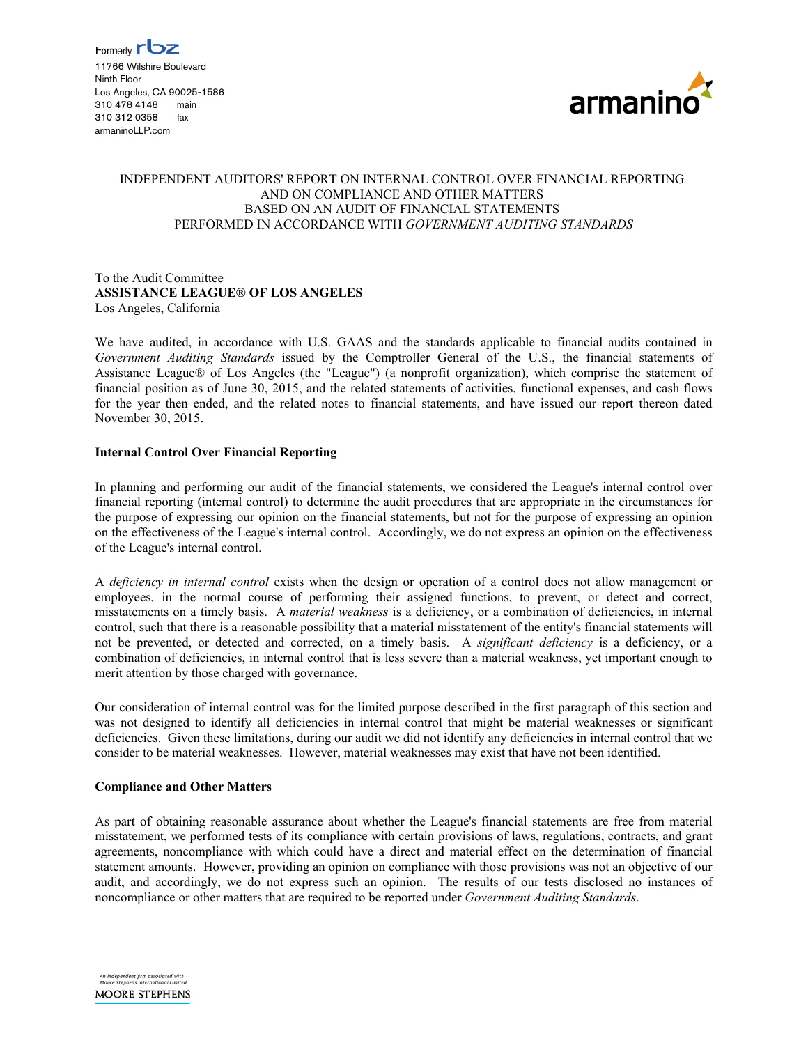



### INDEPENDENT AUDITORS' REPORT ON INTERNAL CONTROL OVER FINANCIAL REPORTING AND ON COMPLIANCE AND OTHER MATTERS BASED ON AN AUDIT OF FINANCIAL STATEMENTS PERFORMED IN ACCORDANCE WITH *GOVERNMENT AUDITING STANDARDS*

### To the Audit Committee **ASSISTANCE LEAGUE® OF LOS ANGELES** Los Angeles, California

We have audited, in accordance with U.S. GAAS and the standards applicable to financial audits contained in *Government Auditing Standards* issued by the Comptroller General of the U.S., the financial statements of Assistance League® of Los Angeles (the "League") (a nonprofit organization), which comprise the statement of financial position as of June 30, 2015, and the related statements of activities, functional expenses, and cash flows for the year then ended, and the related notes to financial statements, and have issued our report thereon dated November 30, 2015.

### **Internal Control Over Financial Reporting**

In planning and performing our audit of the financial statements, we considered the League's internal control over financial reporting (internal control) to determine the audit procedures that are appropriate in the circumstances for the purpose of expressing our opinion on the financial statements, but not for the purpose of expressing an opinion on the effectiveness of the League's internal control. Accordingly, we do not express an opinion on the effectiveness of the League's internal control.

A *deficiency in internal control* exists when the design or operation of a control does not allow management or employees, in the normal course of performing their assigned functions, to prevent, or detect and correct, misstatements on a timely basis. A *material weakness* is a deficiency, or a combination of deficiencies, in internal control, such that there is a reasonable possibility that a material misstatement of the entity's financial statements will not be prevented, or detected and corrected, on a timely basis. A *significant deficiency* is a deficiency, or a combination of deficiencies, in internal control that is less severe than a material weakness, yet important enough to merit attention by those charged with governance.

Our consideration of internal control was for the limited purpose described in the first paragraph of this section and was not designed to identify all deficiencies in internal control that might be material weaknesses or significant deficiencies. Given these limitations, during our audit we did not identify any deficiencies in internal control that we consider to be material weaknesses. However, material weaknesses may exist that have not been identified.

#### **Compliance and Other Matters**

As part of obtaining reasonable assurance about whether the League's financial statements are free from material misstatement, we performed tests of its compliance with certain provisions of laws, regulations, contracts, and grant agreements, noncompliance with which could have a direct and material effect on the determination of financial statement amounts. However, providing an opinion on compliance with those provisions was not an objective of our audit, and accordingly, we do not express such an opinion. The results of our tests disclosed no instances of noncompliance or other matters that are required to be reported under *Government Auditing Standards*.